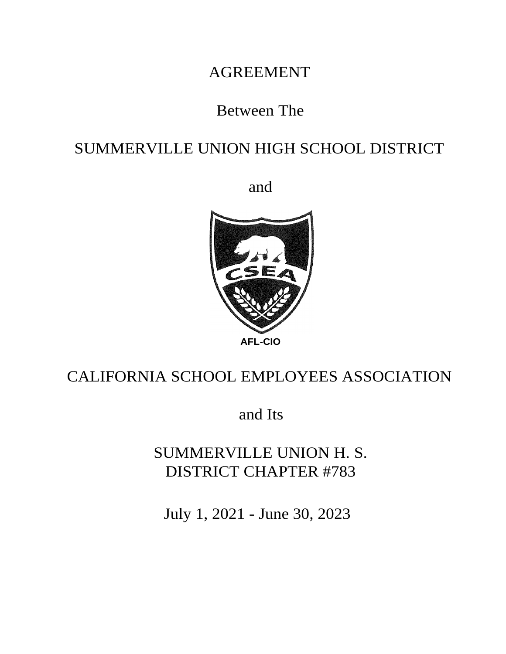# AGREEMENT

# Between The

# SUMMERVILLE UNION HIGH SCHOOL DISTRICT

and



# CALIFORNIA SCHOOL EMPLOYEES ASSOCIATION

and Its

SUMMERVILLE UNION H. S. DISTRICT CHAPTER #783

July 1, 2021 - June 30, 2023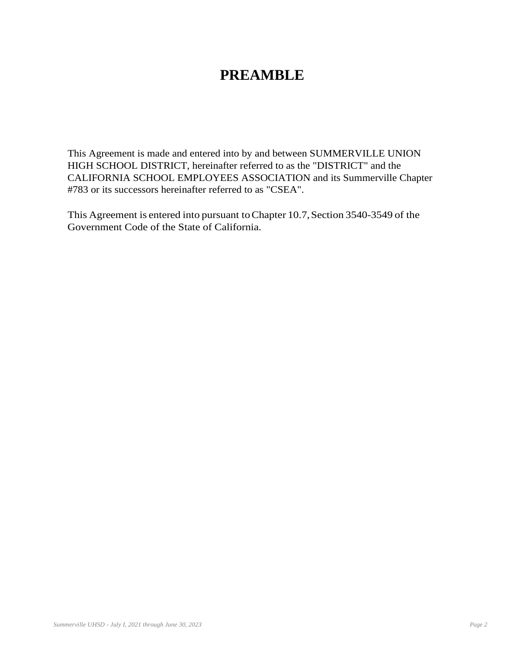## **PREAMBLE**

This Agreement is made and entered into by and between SUMMERVILLE UNION HIGH SCHOOL DISTRICT, hereinafter referred to as the "DISTRICT" and the CALIFORNIA SCHOOL EMPLOYEES ASSOCIATION and its Summerville Chapter #783 or its successors hereinafter referred to as "CSEA".

This Agreement is entered into pursuant to Chapter 10.7, Section 3540-3549 of the Government Code of the State of California.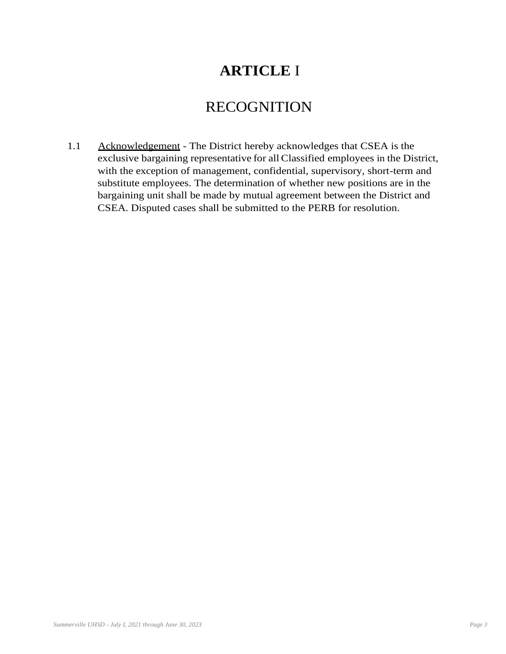# **ARTICLE** I

## RECOGNITION

1.1 Acknowledgement - The District hereby acknowledges that CSEA is the exclusive bargaining representative for all Classified employees in the District, with the exception of management, confidential, supervisory, short-term and substitute employees. The determination of whether new positions are in the bargaining unit shall be made by mutual agreement between the District and CSEA. Disputed cases shall be submitted to the PERB for resolution.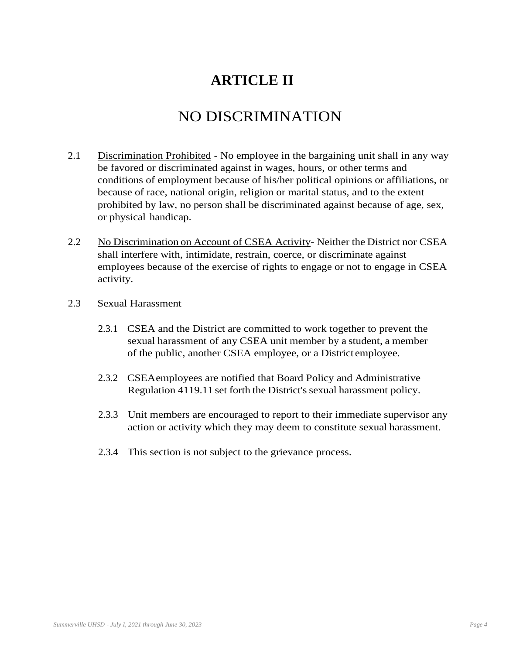# **ARTICLE II**

### NO DISCRIMINATION

- 2.1 Discrimination Prohibited No employee in the bargaining unit shall in any way be favored or discriminated against in wages, hours, or other terms and conditions of employment because of his/her political opinions or affiliations, or because of race, national origin, religion or marital status, and to the extent prohibited by law, no person shall be discriminated against because of age, sex, or physical handicap.
- 2.2 No Discrimination on Account of CSEA Activity- Neither the District nor CSEA shall interfere with, intimidate, restrain, coerce, or discriminate against employees because of the exercise of rights to engage or not to engage in CSEA activity.
- 2.3 Sexual Harassment
	- 2.3.1 CSEA and the District are committed to work together to prevent the sexual harassment of any CSEA unit member by a student, a member of the public, another CSEA employee, or a District employee.
	- 2.3.2 CSEAemployees are notified that Board Policy and Administrative Regulation 4119.11 set forth the District's sexual harassment policy.
	- 2.3.3 Unit members are encouraged to report to their immediate supervisor any action or activity which they may deem to constitute sexual harassment.
	- 2.3.4 This section is not subject to the grievance process.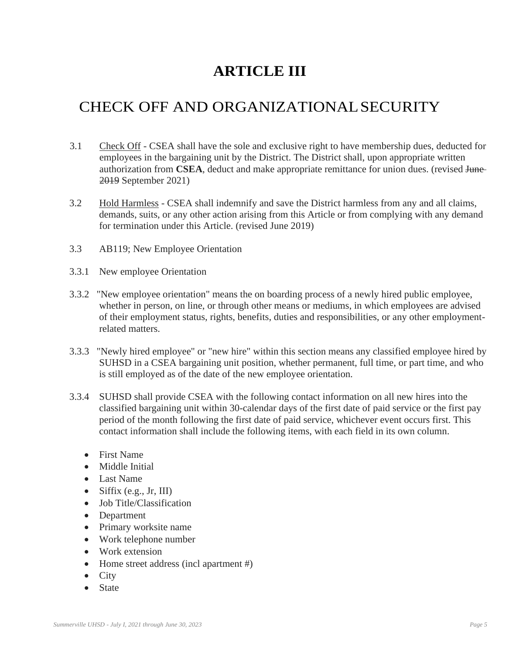# **ARTICLE III**

# CHECK OFF AND ORGANIZATIONALSECURITY

- 3.1 Check Off CSEA shall have the sole and exclusive right to have membership dues, deducted for employees in the bargaining unit by the District. The District shall, upon appropriate written authorization from **CSEA**, deduct and make appropriate remittance for union dues. (revised June-2019 September 2021)
- 3.2 Hold Harmless CSEA shall indemnify and save the District harmless from any and all claims, demands, suits, or any other action arising from this Article or from complying with any demand for termination under this Article. (revised June 2019)
- 3.3 AB119; New Employee Orientation
- 3.3.1 New employee Orientation
- 3.3.2 "New employee orientation" means the on boarding process of a newly hired public employee, whether in person, on line, or through other means or mediums, in which employees are advised of their employment status, rights, benefits, duties and responsibilities, or any other employmentrelated matters.
- 3.3.3 "Newly hired employee" or "new hire" within this section means any classified employee hired by SUHSD in a CSEA bargaining unit position, whether permanent, full time, or part time, and who is still employed as of the date of the new employee orientation.
- 3.3.4 SUHSD shall provide CSEA with the following contact information on all new hires into the classified bargaining unit within 30-calendar days of the first date of paid service or the first pay period of the month following the first date of paid service, whichever event occurs first. This contact information shall include the following items, with each field in its own column.
	- First Name
	- Middle Initial
	- Last Name
	- Siffix (e.g., Jr, III)
	- Job Title/Classification
	- Department
	- Primary worksite name
	- Work telephone number
	- Work extension
	- Home street address (incl apartment #)
	- City
	- State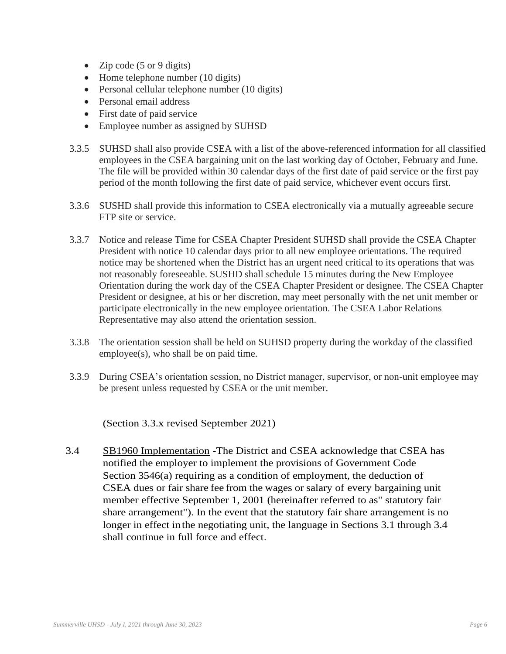- Zip code (5 or 9 digits)
- Home telephone number (10 digits)
- Personal cellular telephone number (10 digits)
- Personal email address
- First date of paid service
- Employee number as assigned by SUHSD
- 3.3.5 SUHSD shall also provide CSEA with a list of the above-referenced information for all classified employees in the CSEA bargaining unit on the last working day of October, February and June. The file will be provided within 30 calendar days of the first date of paid service or the first pay period of the month following the first date of paid service, whichever event occurs first.
- 3.3.6 SUSHD shall provide this information to CSEA electronically via a mutually agreeable secure FTP site or service.
- 3.3.7 Notice and release Time for CSEA Chapter President SUHSD shall provide the CSEA Chapter President with notice 10 calendar days prior to all new employee orientations. The required notice may be shortened when the District has an urgent need critical to its operations that was not reasonably foreseeable. SUSHD shall schedule 15 minutes during the New Employee Orientation during the work day of the CSEA Chapter President or designee. The CSEA Chapter President or designee, at his or her discretion, may meet personally with the net unit member or participate electronically in the new employee orientation. The CSEA Labor Relations Representative may also attend the orientation session.
- 3.3.8 The orientation session shall be held on SUHSD property during the workday of the classified employee(s), who shall be on paid time.
- 3.3.9 During CSEA's orientation session, no District manager, supervisor, or non-unit employee may be present unless requested by CSEA or the unit member.

(Section 3.3.x revised September 2021)

3.4 SB1960 Implementation -The District and CSEA acknowledge that CSEA has notified the employer to implement the provisions of Government Code Section 3546(a) requiring as a condition of employment, the deduction of CSEA dues or fair share fee from the wages or salary of every bargaining unit member effective September 1, 2001 (hereinafter referred to as" statutory fair share arrangement"). In the event that the statutory fair share arrangement is no longer in effect inthe negotiating unit, the language in Sections 3.1 through 3.4 shall continue in full force and effect.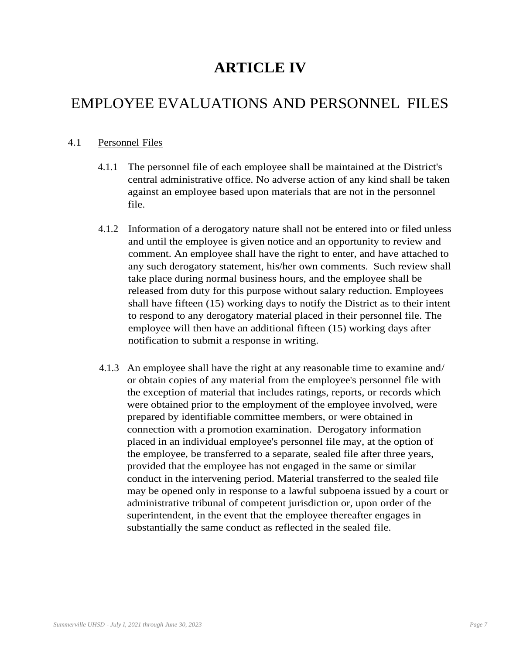# **ARTICLE IV**

# EMPLOYEE EVALUATIONS AND PERSONNEL FILES

#### 4.1 Personnel Files

- 4.1.1 The personnel file of each employee shall be maintained at the District's central administrative office. No adverse action of any kind shall be taken against an employee based upon materials that are not in the personnel file.
- 4.1.2 Information of a derogatory nature shall not be entered into or filed unless and until the employee is given notice and an opportunity to review and comment. An employee shall have the right to enter, and have attached to any such derogatory statement, his/her own comments. Such review shall take place during normal business hours, and the employee shall be released from duty for this purpose without salary reduction. Employees shall have fifteen (15) working days to notify the District as to their intent to respond to any derogatory material placed in their personnel file. The employee will then have an additional fifteen (15) working days after notification to submit a response in writing.
- 4.1.3 An employee shall have the right at any reasonable time to examine and/ or obtain copies of any material from the employee's personnel file with the exception of material that includes ratings, reports, or records which were obtained prior to the employment of the employee involved, were prepared by identifiable committee members, or were obtained in connection with a promotion examination. Derogatory information placed in an individual employee's personnel file may, at the option of the employee, be transferred to a separate, sealed file after three years, provided that the employee has not engaged in the same or similar conduct in the intervening period. Material transferred to the sealed file may be opened only in response to a lawful subpoena issued by a court or administrative tribunal of competent jurisdiction or, upon order of the superintendent, in the event that the employee thereafter engages in substantially the same conduct as reflected in the sealed file.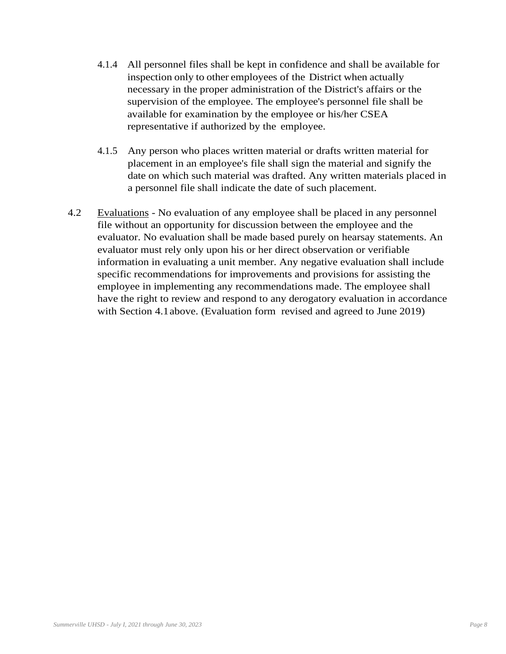- 4.1.4 All personnel files shall be kept in confidence and shall be available for inspection only to other employees of the District when actually necessary in the proper administration of the District's affairs or the supervision of the employee. The employee's personnel file shall be available for examination by the employee or his/her CSEA representative if authorized by the employee.
- 4.1.5 Any person who places written material or drafts written material for placement in an employee's file shall sign the material and signify the date on which such material was drafted. Any written materials placed in a personnel file shall indicate the date of such placement.
- 4.2 Evaluations No evaluation of any employee shall be placed in any personnel file without an opportunity for discussion between the employee and the evaluator. No evaluation shall be made based purely on hearsay statements. An evaluator must rely only upon his or her direct observation or verifiable information in evaluating a unit member. Any negative evaluation shall include specific recommendations for improvements and provisions for assisting the employee in implementing any recommendations made. The employee shall have the right to review and respond to any derogatory evaluation in accordance with Section 4.1above. (Evaluation form revised and agreed to June 2019)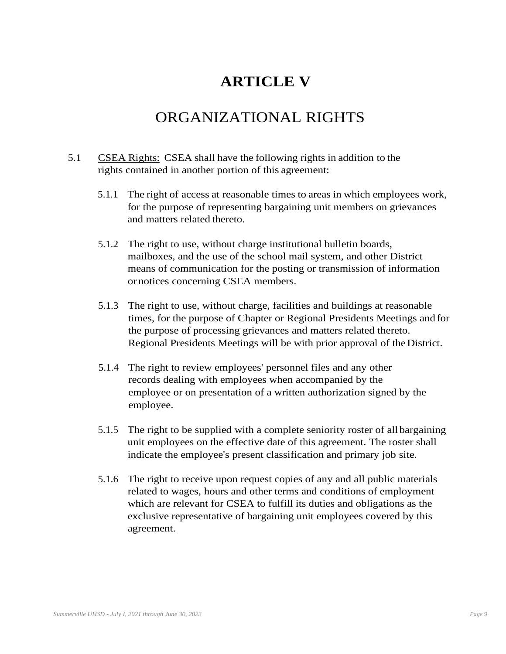# **ARTICLE V**

### ORGANIZATIONAL RIGHTS

- 5.1 CSEA Rights: CSEA shall have the following rights in addition to the rights contained in another portion of this agreement:
	- 5.1.1 The right of access at reasonable times to areas in which employees work, for the purpose of representing bargaining unit members on grievances and matters related thereto.
	- 5.1.2 The right to use, without charge institutional bulletin boards, mailboxes, and the use of the school mail system, and other District means of communication for the posting or transmission of information or notices concerning CSEA members.
	- 5.1.3 The right to use, without charge, facilities and buildings at reasonable times, for the purpose of Chapter or Regional Presidents Meetings and for the purpose of processing grievances and matters related thereto. Regional Presidents Meetings will be with prior approval of theDistrict.
	- 5.1.4 The right to review employees' personnel files and any other records dealing with employees when accompanied by the employee or on presentation of a written authorization signed by the employee.
	- 5.1.5 The right to be supplied with a complete seniority roster of all bargaining unit employees on the effective date of this agreement. The roster shall indicate the employee's present classification and primary job site.
	- 5.1.6 The right to receive upon request copies of any and all public materials related to wages, hours and other terms and conditions of employment which are relevant for CSEA to fulfill its duties and obligations as the exclusive representative of bargaining unit employees covered by this agreement.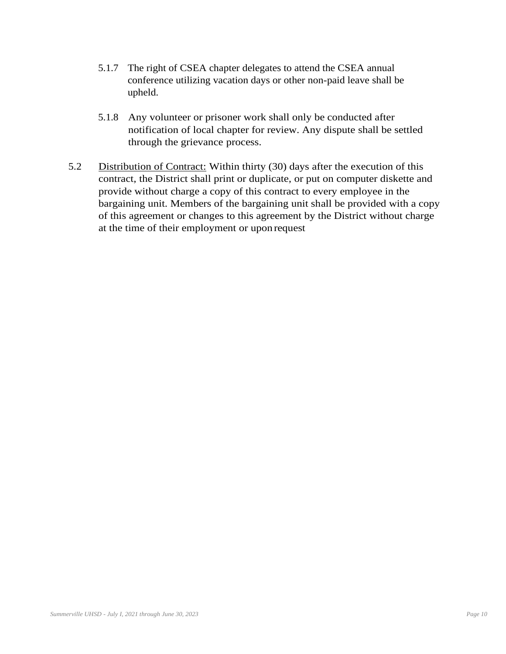- 5.1.7 The right of CSEA chapter delegates to attend the CSEA annual conference utilizing vacation days or other non-paid leave shall be upheld.
- 5.1.8 Any volunteer or prisoner work shall only be conducted after notification of local chapter for review. Any dispute shall be settled through the grievance process.
- 5.2 Distribution of Contract: Within thirty (30) days after the execution of this contract, the District shall print or duplicate, or put on computer diskette and provide without charge a copy of this contract to every employee in the bargaining unit. Members of the bargaining unit shall be provided with a copy of this agreement or changes to this agreement by the District without charge at the time of their employment or upon request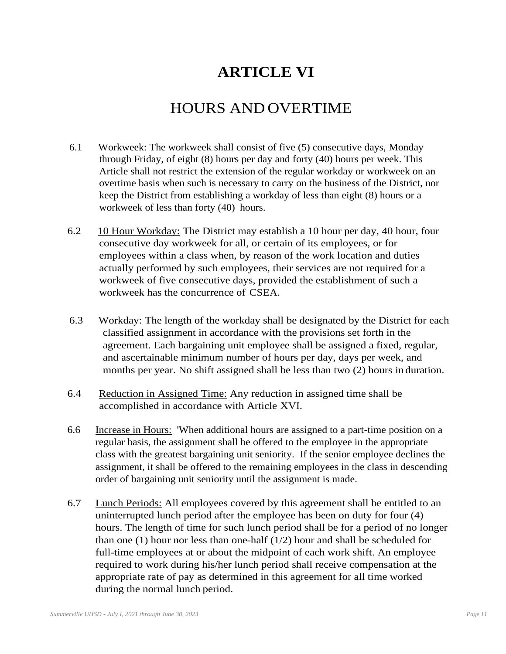# **ARTICLE VI**

# HOURS AND OVERTIME

- 6.1 Workweek: The workweek shall consist of five (5) consecutive days, Monday through Friday, of eight (8) hours per day and forty (40) hours per week. This Article shall not restrict the extension of the regular workday or workweek on an overtime basis when such is necessary to carry on the business of the District, nor keep the District from establishing a workday of less than eight (8) hours or a workweek of less than forty (40) hours.
- 6.2 10 Hour Workday: The District may establish a 10 hour per day, 40 hour, four consecutive day workweek for all, or certain of its employees, or for employees within a class when, by reason of the work location and duties actually performed by such employees, their services are not required for a workweek of five consecutive days, provided the establishment of such a workweek has the concurrence of CSEA.
- 6.3 Workday: The length of the workday shall be designated by the District for each classified assignment in accordance with the provisions set forth in the agreement. Each bargaining unit employee shall be assigned a fixed, regular, and ascertainable minimum number of hours per day, days per week, and months per year. No shift assigned shall be less than two (2) hours in duration.
- 6.4 Reduction in Assigned Time: Any reduction in assigned time shall be accomplished in accordance with Article XVI.
- 6.6 Increase in Hours: 'When additional hours are assigned to a part-time position on a regular basis, the assignment shall be offered to the employee in the appropriate class with the greatest bargaining unit seniority. If the senior employee declines the assignment, it shall be offered to the remaining employees in the class in descending order of bargaining unit seniority until the assignment is made.
- 6.7 Lunch Periods: All employees covered by this agreement shall be entitled to an uninterrupted lunch period after the employee has been on duty for four (4) hours. The length of time for such lunch period shall be for a period of no longer than one (1) hour nor less than one-half (1/2) hour and shall be scheduled for full-time employees at or about the midpoint of each work shift. An employee required to work during his/her lunch period shall receive compensation at the appropriate rate of pay as determined in this agreement for all time worked during the normal lunch period.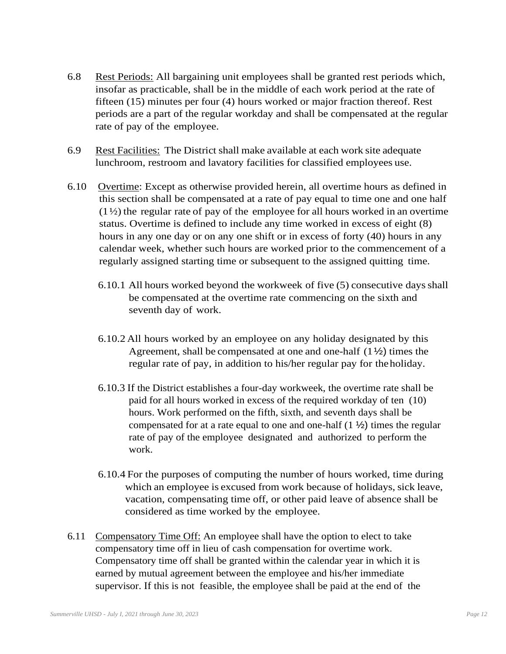- 6.8 Rest Periods: All bargaining unit employees shall be granted rest periods which, insofar as practicable, shall be in the middle of each work period at the rate of fifteen (15) minutes per four (4) hours worked or major fraction thereof. Rest periods are a part of the regular workday and shall be compensated at the regular rate of pay of the employee.
- 6.9 Rest Facilities: The District shall make available at each work site adequate lunchroom, restroom and lavatory facilities for classified employees use.
- 6.10 Overtime: Except as otherwise provided herein, all overtime hours as defined in this section shall be compensated at a rate of pay equal to time one and one half  $(1\frac{1}{2})$  the regular rate of pay of the employee for all hours worked in an overtime status. Overtime is defined to include any time worked in excess of eight (8) hours in any one day or on any one shift or in excess of forty (40) hours in any calendar week, whether such hours are worked prior to the commencement of a regularly assigned starting time or subsequent to the assigned quitting time.
	- 6.10.1 All hours worked beyond the workweek of five (5) consecutive daysshall be compensated at the overtime rate commencing on the sixth and seventh day of work.
	- 6.10.2 All hours worked by an employee on any holiday designated by this Agreement, shall be compensated at one and one-half (1½) times the regular rate of pay, in addition to his/her regular pay for theholiday.
	- 6.10.3 If the District establishes a four-day workweek, the overtime rate shall be paid for all hours worked in excess of the required workday of ten (10) hours. Work performed on the fifth, sixth, and seventh days shall be compensated for at a rate equal to one and one-half  $(1 \frac{1}{2})$  times the regular rate of pay of the employee designated and authorized to perform the work.
	- 6.10.4 For the purposes of computing the number of hours worked, time during which an employee is excused from work because of holidays, sick leave, vacation, compensating time off, or other paid leave of absence shall be considered as time worked by the employee.
- 6.11 Compensatory Time Off: An employee shall have the option to elect to take compensatory time off in lieu of cash compensation for overtime work. Compensatory time off shall be granted within the calendar year in which it is earned by mutual agreement between the employee and his/her immediate supervisor. If this is not feasible, the employee shall be paid at the end of the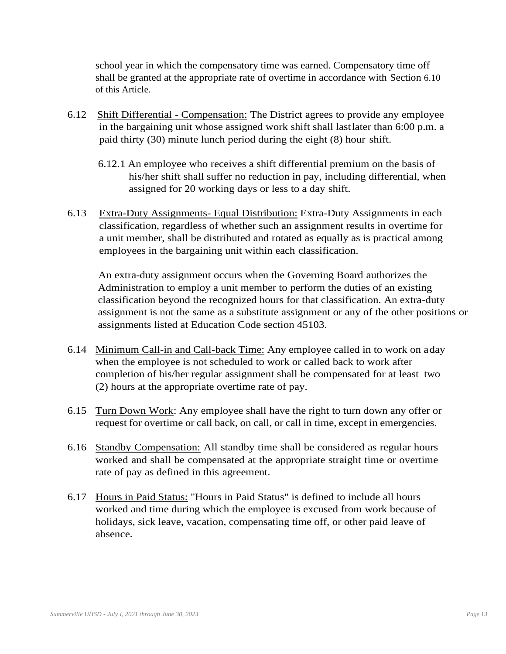school year in which the compensatory time was earned. Compensatory time off shall be granted at the appropriate rate of overtime in accordance with Section 6.10 of this Article.

- 6.12 Shift Differential Compensation: The District agrees to provide any employee in the bargaining unit whose assigned work shift shall lastlater than 6:00 p.m. a paid thirty (30) minute lunch period during the eight (8) hour shift.
	- 6.12.1 An employee who receives a shift differential premium on the basis of his/her shift shall suffer no reduction in pay, including differential, when assigned for 20 working days or less to a day shift.
- 6.13 Extra-Duty Assignments- Equal Distribution: Extra-Duty Assignments in each classification, regardless of whether such an assignment results in overtime for a unit member, shall be distributed and rotated as equally as is practical among employees in the bargaining unit within each classification.

An extra-duty assignment occurs when the Governing Board authorizes the Administration to employ a unit member to perform the duties of an existing classification beyond the recognized hours for that classification. An extra-duty assignment is not the same as a substitute assignment or any of the other positions or assignments listed at Education Code section 45103.

- 6.14 Minimum Call-in and Call-back Time: Any employee called in to work on aday when the employee is not scheduled to work or called back to work after completion of his/her regular assignment shall be compensated for at least two (2) hours at the appropriate overtime rate of pay.
- 6.15 Turn Down Work: Any employee shall have the right to turn down any offer or request for overtime or call back, on call, or call in time, except in emergencies.
- 6.16 Standby Compensation: All standby time shall be considered as regular hours worked and shall be compensated at the appropriate straight time or overtime rate of pay as defined in this agreement.
- 6.17 Hours in Paid Status: "Hours in Paid Status" is defined to include all hours worked and time during which the employee is excused from work because of holidays, sick leave, vacation, compensating time off, or other paid leave of absence.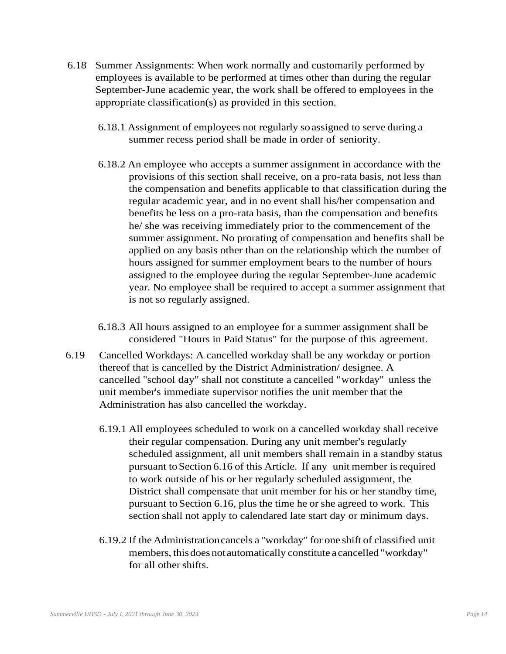- 6.18 Summer Assignments: When work normally and customarily performed by employees is available to be performed at times other than during the regular September-June academic year, the work shall be offered to employees in the appropriate classification(s) as provided in this section.
	- 6.18.1 Assignment of employees not regularly so assigned to serve during a summer recess period shall be made in order of seniority.
	- 6.18.2 An employee who accepts a summer assignment in accordance with the provisions of this section shall receive, on a pro-rata basis, not less than the compensation and benefits applicable to that classification during the regular academic year, and in no event shall his/her compensation and benefits be less on a pro-rata basis, than the compensation and benefits he/ she was receiving immediately prior to the commencement of the summer assignment. No prorating of compensation and benefits shall be applied on any basis other than on the relationship which the number of hours assigned for summer employment bears to the number of hours assigned to the employee during the regular September-June academic year. No employee shall be required to accept a summer assignment that is not so regularly assigned.
	- 6.18.3 All hours assigned to an employee for a summer assignment shall be considered "Hours in Paid Status" for the purpose of this agreement.
- 6.19 Cancelled Workdays: A cancelled workday shall be any workday or portion thereof that is cancelled by the District Administration/ designee. A cancelled "school day" shall not constitute a cancelled ' <sup>1</sup>workday" unless the unit member's immediate supervisor notifies the unit member that the Administration has also cancelled the workday.
	- 6.19.1 All employees scheduled to work on a cancelled workday shall receive their regular compensation. During any unit member's regularly scheduled assignment, all unit members shall remain in a standby status pursuant to Section 6.16 of this Article. If any unit member is required to work outside of his or her regularly scheduled assignment, the District shall compensate that unit member for his or her standby time, pursuant toSection 6.16, plus the time he or she agreed to work. This section shall not apply to calendared late start day or minimum days.
	- 6.19.2 If the Administrationcancels a "workday" for one shift of classified unit members, thisdoes notautomatically constitute a cancelled "workday" for all other shifts.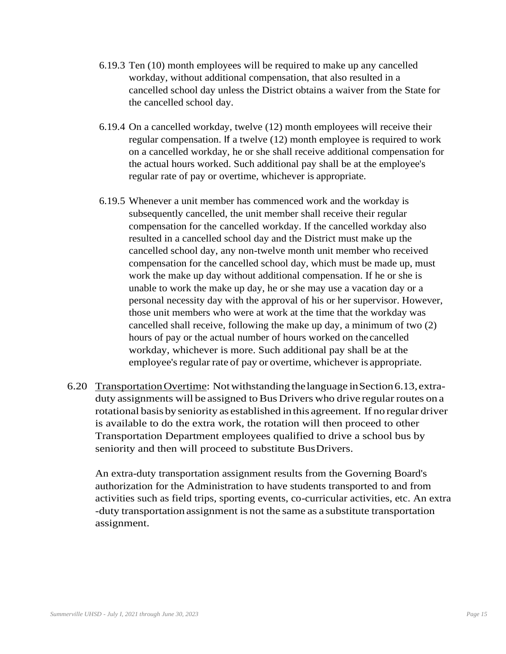- 6.19.3 Ten (10) month employees will be required to make up any cancelled workday, without additional compensation, that also resulted in a cancelled school day unless the District obtains a waiver from the State for the cancelled school day.
- 6.19.4 On a cancelled workday, twelve (12) month employees will receive their regular compensation. If a twelve (12) month employee is required to work on a cancelled workday, he or she shall receive additional compensation for the actual hours worked. Such additional pay shall be at the employee's regular rate of pay or overtime, whichever is appropriate.
- 6.19.5 Whenever a unit member has commenced work and the workday is subsequently cancelled, the unit member shall receive their regular compensation for the cancelled workday. If the cancelled workday also resulted in a cancelled school day and the District must make up the cancelled school day, any non-twelve month unit member who received compensation for the cancelled school day, which must be made up, must work the make up day without additional compensation. If he or she is unable to work the make up day, he or she may use a vacation day or a personal necessity day with the approval of his or her supervisor. However, those unit members who were at work at the time that the workday was cancelled shall receive, following the make up day, a minimum of two (2) hours of pay or the actual number of hours worked on the cancelled workday, whichever is more. Such additional pay shall be at the employee's regular rate of pay or overtime, whichever is appropriate.
- 6.20 TransportationOvertime: Notwithstanding thelanguage inSection6.13,extraduty assignments will be assigned to Bus Drivers who drive regular routes on a rotational basis by seniority as established in this agreement. If no regular driver is available to do the extra work, the rotation will then proceed to other Transportation Department employees qualified to drive a school bus by seniority and then will proceed to substitute BusDrivers.

An extra-duty transportation assignment results from the Governing Board's authorization for the Administration to have students transported to and from activities such as field trips, sporting events, co-curricular activities, etc. An extra -duty transportation assignment is not the same as a substitute transportation assignment.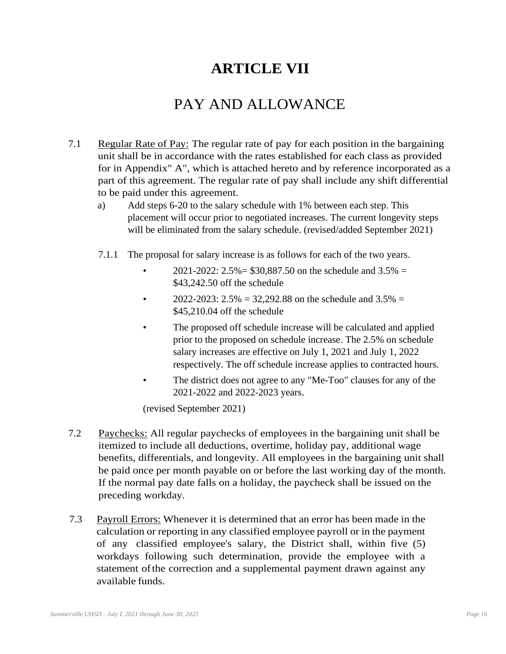# **ARTICLE VII**

# PAY AND ALLOWANCE

- 7.1 Regular Rate of Pay: The regular rate of pay for each position in the bargaining unit shall be in accordance with the rates established for each class as provided for in Appendix" A", which is attached hereto and by reference incorporated as a part of this agreement. The regular rate of pay shall include any shift differential to be paid under this agreement.
	- a) Add steps 6-20 to the salary schedule with 1% between each step. This placement will occur prior to negotiated increases. The current longevity steps will be eliminated from the salary schedule. (revised/added September 2021)
	- 7.1.1 The proposal for salary increase is as follows for each of the two years.
		- 2021-2022:  $2.5\% = $30,887.50$  on the schedule and  $3.5\% =$ \$43,242.50 off the schedule
		- 2022-2023:  $2.5\% = 32.292.88$  on the schedule and  $3.5\% =$ \$45,210.04 off the schedule
		- The proposed off schedule increase will be calculated and applied prior to the proposed on schedule increase. The 2.5% on schedule salary increases are effective on July 1, 2021 and July 1, 2022 respectively. The off schedule increase applies to contracted hours.
		- The district does not agree to any "Me-Too" clauses for any of the 2021-2022 and 2022-2023 years.

(revised September 2021)

- 7.2 Paychecks: All regular paychecks of employees in the bargaining unit shall be itemized to include all deductions, overtime, holiday pay, additional wage benefits, differentials, and longevity. All employees in the bargaining unit shall be paid once per month payable on or before the last working day of the month. If the normal pay date falls on a holiday, the paycheck shall be issued on the preceding workday.
- 7.3 Payroll Errors: Whenever it is determined that an error has been made in the calculation or reporting in any classified employee payroll or in the payment of any classified employee's salary, the District shall, within five (5) workdays following such determination, provide the employee with a statement ofthe correction and a supplemental payment drawn against any available funds.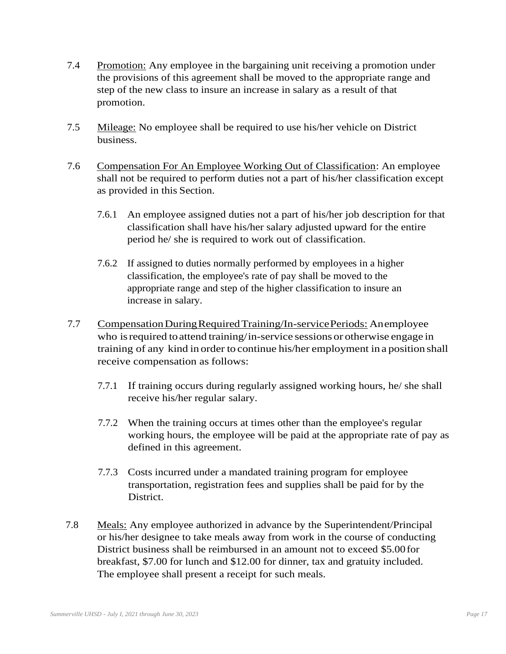- 7.4 Promotion: Any employee in the bargaining unit receiving a promotion under the provisions of this agreement shall be moved to the appropriate range and step of the new class to insure an increase in salary as a result of that promotion.
- 7.5 Mileage: No employee shall be required to use his/her vehicle on District business.
- 7.6 Compensation For An Employee Working Out of Classification: An employee shall not be required to perform duties not a part of his/her classification except as provided in this Section.
	- 7.6.1 An employee assigned duties not a part of his/her job description for that classification shall have his/her salary adjusted upward for the entire period he/ she is required to work out of classification.
	- 7.6.2 If assigned to duties normally performed by employees in a higher classification, the employee's rate of pay shall be moved to the appropriate range and step of the higher classification to insure an increase in salary.
- 7.7 Compensation During Required Training/In-service Periods: Anemployee who is required to attend training/in-service sessions or otherwise engage in training of any kind in order to continue his/her employment in a position shall receive compensation as follows:
	- 7.7.1 If training occurs during regularly assigned working hours, he/ she shall receive his/her regular salary.
	- 7.7.2 When the training occurs at times other than the employee's regular working hours, the employee will be paid at the appropriate rate of pay as defined in this agreement.
	- 7.7.3 Costs incurred under a mandated training program for employee transportation, registration fees and supplies shall be paid for by the District.
- 7.8 Meals: Any employee authorized in advance by the Superintendent/Principal or his/her designee to take meals away from work in the course of conducting District business shall be reimbursed in an amount not to exceed \$5.00for breakfast, \$7.00 for lunch and \$12.00 for dinner, tax and gratuity included. The employee shall present a receipt for such meals.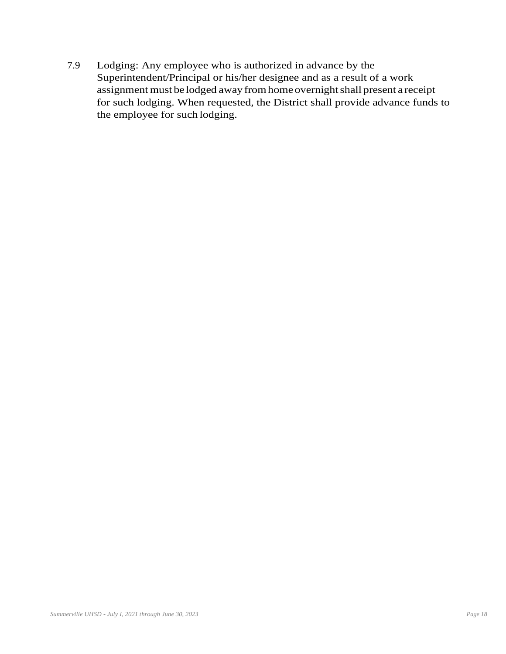7.9 Lodging: Any employee who is authorized in advance by the Superintendent/Principal or his/her designee and as a result of a work assignment must be lodged away fromhomeovernightshall present a receipt for such lodging. When requested, the District shall provide advance funds to the employee for such lodging.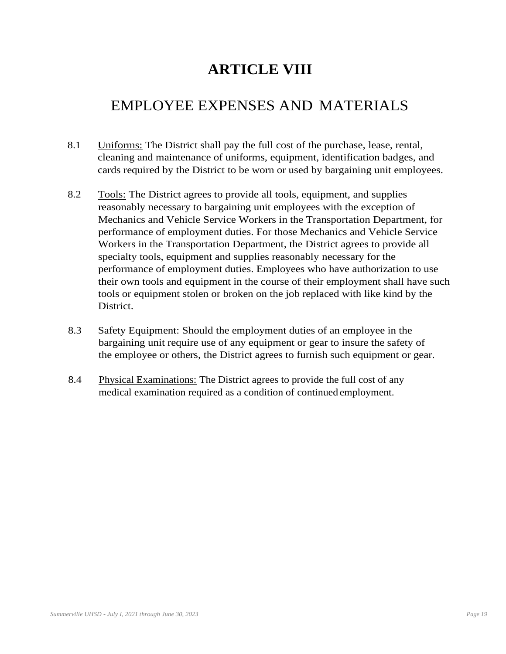# **ARTICLE VIII**

## EMPLOYEE EXPENSES AND MATERIALS

- 8.1 Uniforms: The District shall pay the full cost of the purchase, lease, rental, cleaning and maintenance of uniforms, equipment, identification badges, and cards required by the District to be worn or used by bargaining unit employees.
- 8.2 Tools: The District agrees to provide all tools, equipment, and supplies reasonably necessary to bargaining unit employees with the exception of Mechanics and Vehicle Service Workers in the Transportation Department, for performance of employment duties. For those Mechanics and Vehicle Service Workers in the Transportation Department, the District agrees to provide all specialty tools, equipment and supplies reasonably necessary for the performance of employment duties. Employees who have authorization to use their own tools and equipment in the course of their employment shall have such tools or equipment stolen or broken on the job replaced with like kind by the District.
- 8.3 Safety Equipment: Should the employment duties of an employee in the bargaining unit require use of any equipment or gear to insure the safety of the employee or others, the District agrees to furnish such equipment or gear.
- 8.4 Physical Examinations: The District agrees to provide the full cost of any medical examination required as a condition of continued employment.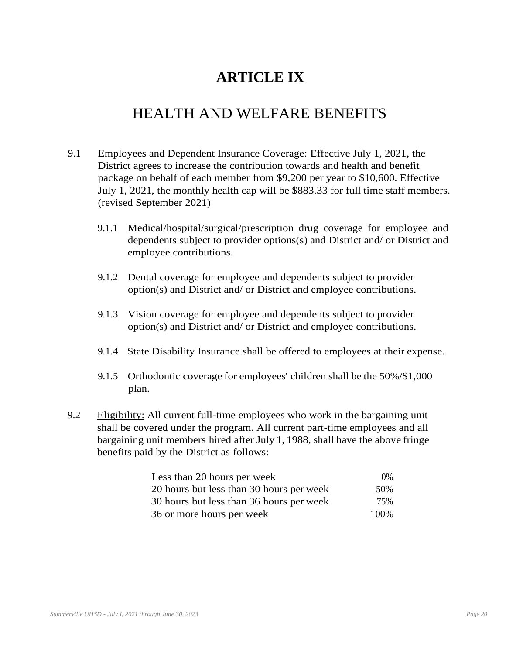# **ARTICLE IX**

## HEALTH AND WELFARE BENEFITS

- 9.1 Employees and Dependent Insurance Coverage: Effective July 1, 2021, the District agrees to increase the contribution towards and health and benefit package on behalf of each member from \$9,200 per year to \$10,600. Effective July 1, 2021, the monthly health cap will be \$883.33 for full time staff members. (revised September 2021)
	- 9.1.1 Medical/hospital/surgical/prescription drug coverage for employee and dependents subject to provider options(s) and District and/ or District and employee contributions.
	- 9.1.2 Dental coverage for employee and dependents subject to provider option(s) and District and/ or District and employee contributions.
	- 9.1.3 Vision coverage for employee and dependents subject to provider option(s) and District and/ or District and employee contributions.
	- 9.1.4 State Disability Insurance shall be offered to employees at their expense.
	- 9.1.5 Orthodontic coverage for employees' children shall be the 50%/\$1,000 plan.
- 9.2 Eligibility: All current full-time employees who work in the bargaining unit shall be covered under the program. All current part-time employees and all bargaining unit members hired after July 1, 1988, shall have the above fringe benefits paid by the District as follows:

| Less than 20 hours per week              | $0\%$ |
|------------------------------------------|-------|
| 20 hours but less than 30 hours per week | 50%   |
| 30 hours but less than 36 hours per week | 75%   |
| 36 or more hours per week                | 100%  |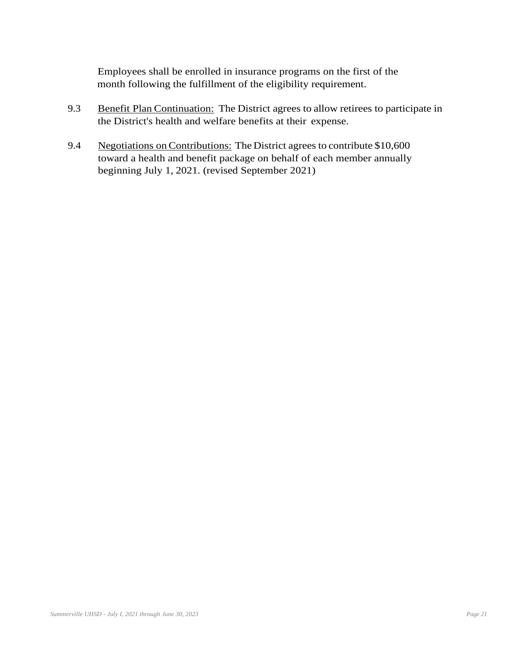Employees shall be enrolled in insurance programs on the first of the month following the fulfillment of the eligibility requirement.

- 9.3 Benefit Plan Continuation: The District agrees to allow retirees to participate in the District's health and welfare benefits at their expense.
- 9.4 Negotiations on Contributions: The District agrees to contribute \$10,600 toward a health and benefit package on behalf of each member annually beginning July 1, 2021. (revised September 2021)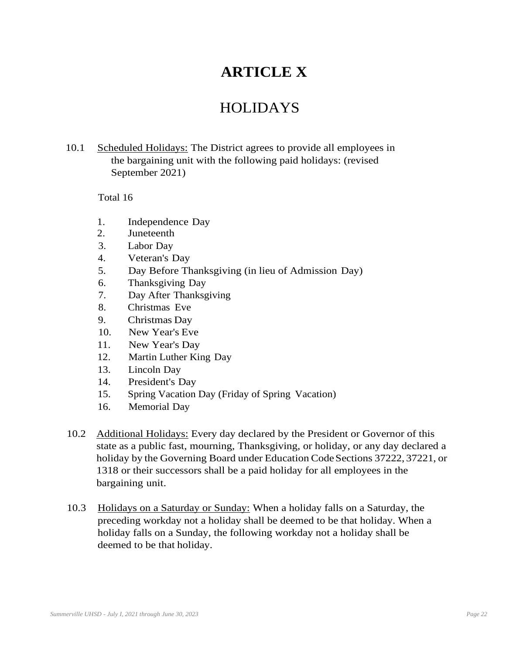# **ARTICLE X**

## HOLIDAYS

10.1 Scheduled Holidays: The District agrees to provide all employees in the bargaining unit with the following paid holidays: (revised September 2021)

#### Total 16

- 1. Independence Day
- 2. Juneteenth
- 3. Labor Day
- 4. Veteran's Day
- 5. Day Before Thanksgiving (in lieu of Admission Day)
- 6. Thanksgiving Day
- 7. Day After Thanksgiving
- 8. Christmas Eve
- 9. Christmas Day
- 10. New Year's Eve
- 11. New Year's Day
- 12. Martin Luther King Day
- 13. Lincoln Day
- 14. President's Day
- 15. Spring Vacation Day (Friday of Spring Vacation)
- 16. Memorial Day
- 10.2 Additional Holidays: Every day declared by the President or Governor of this state as a public fast, mourning, Thanksgiving, or holiday, or any day declared a holiday by the Governing Board under Education Code Sections 37222, 37221, or 1318 or their successors shall be a paid holiday for all employees in the bargaining unit.
- 10.3 Holidays on a Saturday or Sunday: When a holiday falls on a Saturday, the preceding workday not a holiday shall be deemed to be that holiday. When a holiday falls on a Sunday, the following workday not a holiday shall be deemed to be that holiday.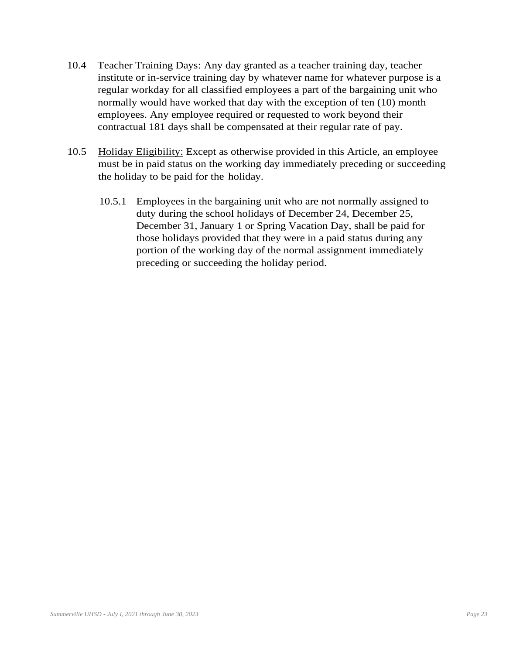- 10.4 Teacher Training Days: Any day granted as a teacher training day, teacher institute or in-service training day by whatever name for whatever purpose is a regular workday for all classified employees a part of the bargaining unit who normally would have worked that day with the exception of ten (10) month employees. Any employee required or requested to work beyond their contractual 181 days shall be compensated at their regular rate of pay.
- 10.5 Holiday Eligibility: Except as otherwise provided in this Article, an employee must be in paid status on the working day immediately preceding or succeeding the holiday to be paid for the holiday.
	- 10.5.1 Employees in the bargaining unit who are not normally assigned to duty during the school holidays of December 24, December 25, December 31, January 1 or Spring Vacation Day, shall be paid for those holidays provided that they were in a paid status during any portion of the working day of the normal assignment immediately preceding or succeeding the holiday period.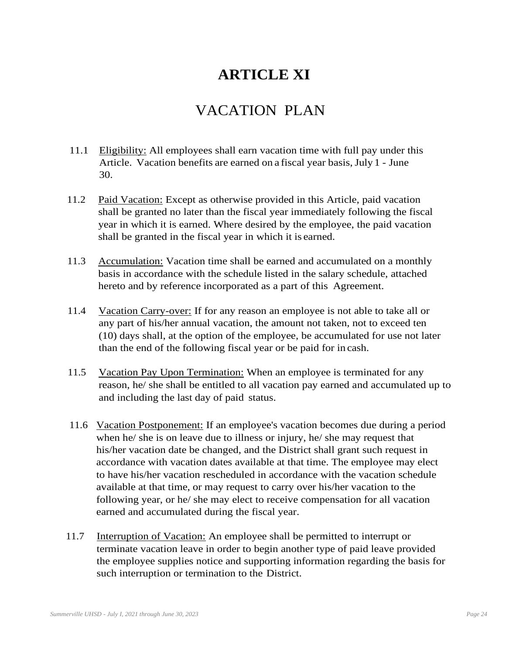# **ARTICLE XI**

## VACATION PLAN

- 11.1 Eligibility: All employees shall earn vacation time with full pay under this Article. Vacation benefits are earned on a fiscal year basis, July 1 - June 30.
- 11.2 Paid Vacation: Except as otherwise provided in this Article, paid vacation shall be granted no later than the fiscal year immediately following the fiscal year in which it is earned. Where desired by the employee, the paid vacation shall be granted in the fiscal year in which it is earned.
- 11.3 Accumulation: Vacation time shall be earned and accumulated on a monthly basis in accordance with the schedule listed in the salary schedule, attached hereto and by reference incorporated as a part of this Agreement.
- 11.4 Vacation Carry-over: If for any reason an employee is not able to take all or any part of his/her annual vacation, the amount not taken, not to exceed ten (10) days shall, at the option of the employee, be accumulated for use not later than the end of the following fiscal year or be paid for in cash.
- 11.5 Vacation Pay Upon Termination: When an employee is terminated for any reason, he/ she shall be entitled to all vacation pay earned and accumulated up to and including the last day of paid status.
- 11.6 Vacation Postponement: If an employee's vacation becomes due during a period when he/ she is on leave due to illness or injury, he/ she may request that his/her vacation date be changed, and the District shall grant such request in accordance with vacation dates available at that time. The employee may elect to have his/her vacation rescheduled in accordance with the vacation schedule available at that time, or may request to carry over his/her vacation to the following year, or he/ she may elect to receive compensation for all vacation earned and accumulated during the fiscal year.
- 11.7 Interruption of Vacation: An employee shall be permitted to interrupt or terminate vacation leave in order to begin another type of paid leave provided the employee supplies notice and supporting information regarding the basis for such interruption or termination to the District.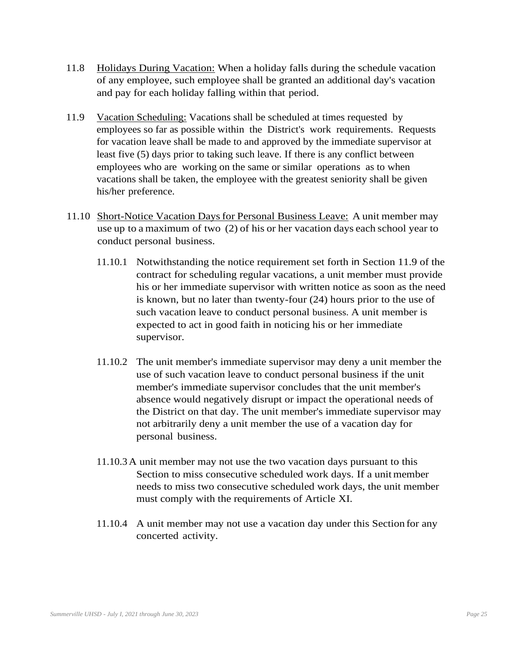- 11.8 Holidays During Vacation: When a holiday falls during the schedule vacation of any employee, such employee shall be granted an additional day's vacation and pay for each holiday falling within that period.
- 11.9 Vacation Scheduling: Vacations shall be scheduled at times requested by employees so far as possible within the District's work requirements. Requests for vacation leave shall be made to and approved by the immediate supervisor at least five (5) days prior to taking such leave. If there is any conflict between employees who are working on the same or similar operations as to when vacations shall be taken, the employee with the greatest seniority shall be given his/her preference.
- 11.10 Short-Notice Vacation Daysfor Personal Business Leave: A unit member may use up to a maximum of two (2) of his or her vacation days each school year to conduct personal business.
	- 11.10.1 Notwithstanding the notice requirement set forth in Section 11.9 of the contract for scheduling regular vacations, a unit member must provide his or her immediate supervisor with written notice as soon as the need is known, but no later than twenty-four (24) hours prior to the use of such vacation leave to conduct personal business. A unit member is expected to act in good faith in noticing his or her immediate supervisor.
	- 11.10.2 The unit member's immediate supervisor may deny a unit member the use of such vacation leave to conduct personal business if the unit member's immediate supervisor concludes that the unit member's absence would negatively disrupt or impact the operational needs of the District on that day. The unit member's immediate supervisor may not arbitrarily deny a unit member the use of a vacation day for personal business.
	- 11.10.3A unit member may not use the two vacation days pursuant to this Section to miss consecutive scheduled work days. If a unitmember needs to miss two consecutive scheduled work days, the unit member must comply with the requirements of Article XI.
	- 11.10.4 A unit member may not use a vacation day under this Section for any concerted activity.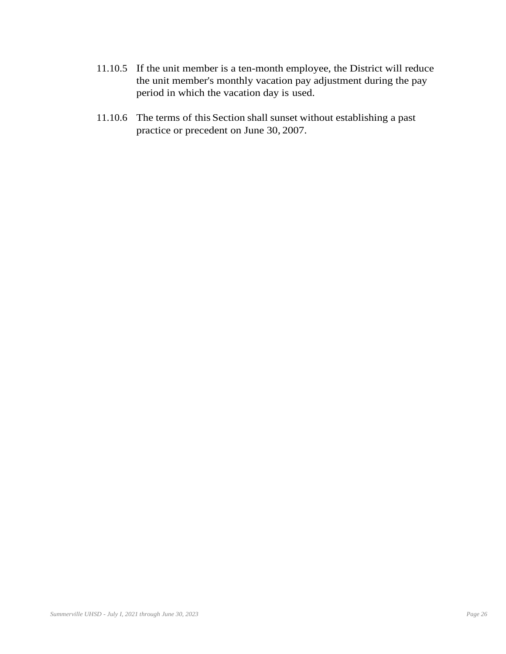- 11.10.5 If the unit member is a ten-month employee, the District will reduce the unit member's monthly vacation pay adjustment during the pay period in which the vacation day is used.
- 11.10.6 The terms of this Section shall sunset without establishing a past practice or precedent on June 30, 2007.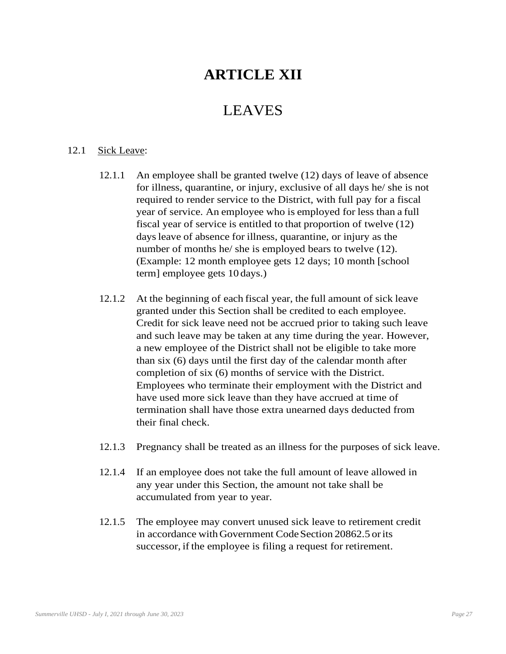## **ARTICLE XII**

### LEAVES

#### 12.1 Sick Leave:

- 12.1.1 An employee shall be granted twelve (12) days of leave of absence for illness, quarantine, or injury, exclusive of all days he/ she is not required to render service to the District, with full pay for a fiscal year of service. An employee who is employed for less than a full fiscal year of service is entitled to that proportion of twelve (12) daysleave of absence for illness, quarantine, or injury as the number of months he/ she is employed bears to twelve (12). (Example: 12 month employee gets 12 days; 10 month [school term] employee gets 10 days.)
- 12.1.2 At the beginning of each fiscal year, the full amount of sick leave granted under this Section shall be credited to each employee. Credit for sick leave need not be accrued prior to taking such leave and such leave may be taken at any time during the year. However, a new employee of the District shall not be eligible to take more than six (6) days until the first day of the calendar month after completion of six (6) months of service with the District. Employees who terminate their employment with the District and have used more sick leave than they have accrued at time of termination shall have those extra unearned days deducted from their final check.
- 12.1.3 Pregnancy shall be treated as an illness for the purposes of sick leave.
- 12.1.4 If an employee does not take the full amount of leave allowed in any year under this Section, the amount not take shall be accumulated from year to year.
- 12.1.5 The employee may convert unused sick leave to retirement credit in accordance with Government Code Section 20862.5 or its successor, if the employee is filing a request for retirement.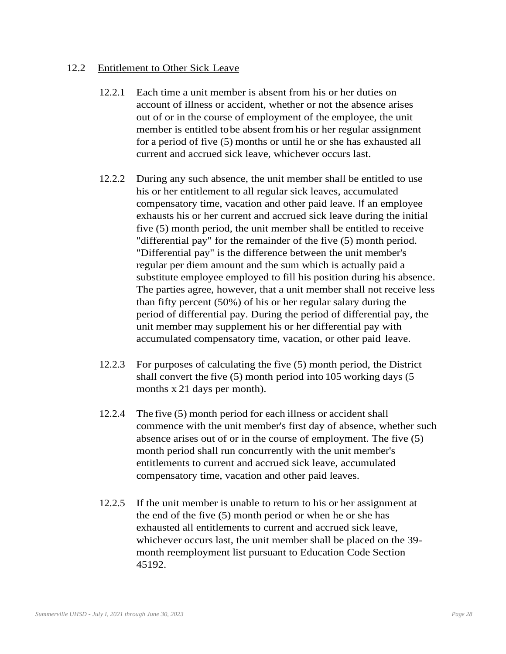#### 12.2 Entitlement to Other Sick Leave

- 12.2.1 Each time a unit member is absent from his or her duties on account of illness or accident, whether or not the absence arises out of or in the course of employment of the employee, the unit member is entitled tobe absent fromhis or her regular assignment for a period of five (5) months or until he or she has exhausted all current and accrued sick leave, whichever occurs last.
- 12.2.2 During any such absence, the unit member shall be entitled to use his or her entitlement to all regular sick leaves, accumulated compensatory time, vacation and other paid leave. If an employee exhausts his or her current and accrued sick leave during the initial five (5) month period, the unit member shall be entitled to receive "differential pay" for the remainder of the five (5) month period. "Differential pay" is the difference between the unit member's regular per diem amount and the sum which is actually paid a substitute employee employed to fill his position during his absence. The parties agree, however, that a unit member shall not receive less than fifty percent (50%) of his or her regular salary during the period of differential pay. During the period of differential pay, the unit member may supplement his or her differential pay with accumulated compensatory time, vacation, or other paid leave.
- 12.2.3 For purposes of calculating the five (5) month period, the District shall convert the five (5) month period into 105 working days (5 months x 21 days per month).
- 12.2.4 The five (5) month period for each illness or accident shall commence with the unit member's first day of absence, whether such absence arises out of or in the course of employment. The five (5) month period shall run concurrently with the unit member's entitlements to current and accrued sick leave, accumulated compensatory time, vacation and other paid leaves.
- 12.2.5 If the unit member is unable to return to his or her assignment at the end of the five (5) month period or when he or she has exhausted all entitlements to current and accrued sick leave, whichever occurs last, the unit member shall be placed on the 39 month reemployment list pursuant to Education Code Section 45192.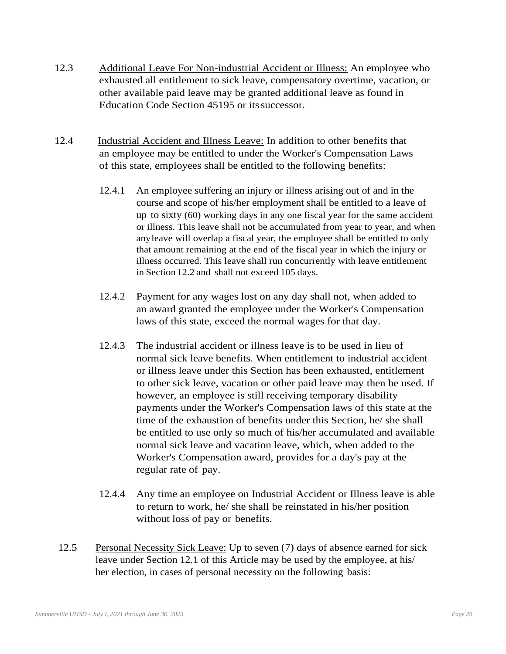- 12.3 Additional Leave For Non-industrial Accident or Illness: An employee who exhausted all entitlement to sick leave, compensatory overtime, vacation, or other available paid leave may be granted additional leave as found in Education Code Section 45195 or its successor.
- 12.4 Industrial Accident and Illness Leave: In addition to other benefits that an employee may be entitled to under the Worker's Compensation Laws of this state, employees shall be entitled to the following benefits:
	- 12.4.1 An employee suffering an injury or illness arising out of and in the course and scope of his/her employment shall be entitled to a leave of up to sixty (60) working days in any one fiscal year for the same accident or illness. This leave shall not be accumulated from year to year, and when anyleave will overlap a fiscal year, the employee shall be entitled to only that amount remaining at the end of the fiscal year in which the injury or illness occurred. This leave shall run concurrently with leave entitlement in Section 12.2 and shall not exceed 105 days.
	- 12.4.2 Payment for any wages lost on any day shall not, when added to an award granted the employee under the Worker's Compensation laws of this state, exceed the normal wages for that day.
	- 12.4.3 The industrial accident or illness leave is to be used in lieu of normal sick leave benefits. When entitlement to industrial accident or illness leave under this Section has been exhausted, entitlement to other sick leave, vacation or other paid leave may then be used. If however, an employee is still receiving temporary disability payments under the Worker's Compensation laws of this state at the time of the exhaustion of benefits under this Section, he/ she shall be entitled to use only so much of his/her accumulated and available normal sick leave and vacation leave, which, when added to the Worker's Compensation award, provides for a day's pay at the regular rate of pay.
	- 12.4.4 Any time an employee on Industrial Accident or Illness leave is able to return to work, he/ she shall be reinstated in his/her position without loss of pay or benefits.
- 12.5 Personal Necessity Sick Leave: Up to seven (7) days of absence earned for sick leave under Section 12.1 of this Article may be used by the employee, at his/ her election, in cases of personal necessity on the following basis: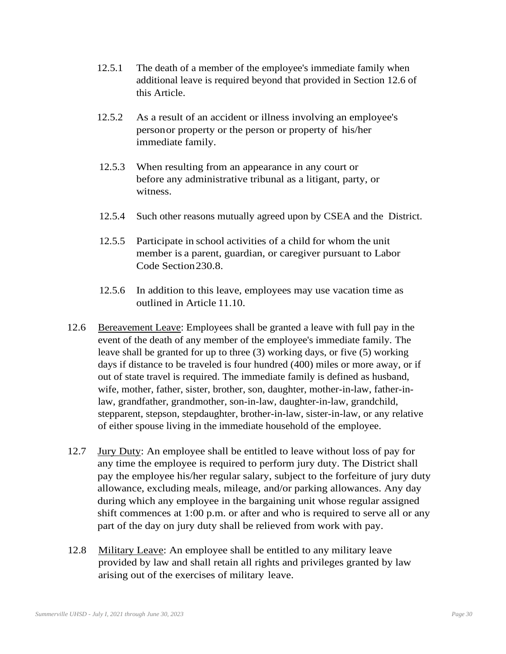- 12.5.1 The death of a member of the employee's immediate family when additional leave is required beyond that provided in Section 12.6 of this Article.
- 12.5.2 As a result of an accident or illness involving an employee's personor property or the person or property of his/her immediate family.
- 12.5.3 When resulting from an appearance in any court or before any administrative tribunal as a litigant, party, or witness.
- 12.5.4 Such other reasons mutually agreed upon by CSEA and the District.
- 12.5.5 Participate in school activities of a child for whom the unit member is a parent, guardian, or caregiver pursuant to Labor Code Section230.8.
- 12.5.6 In addition to this leave, employees may use vacation time as outlined in Article 11.10.
- 12.6 Bereavement Leave: Employees shall be granted a leave with full pay in the event of the death of any member of the employee's immediate family. The leave shall be granted for up to three (3) working days, or five (5) working days if distance to be traveled is four hundred (400) miles or more away, or if out of state travel is required. The immediate family is defined as husband, wife, mother, father, sister, brother, son, daughter, mother-in-law, father-inlaw, grandfather, grandmother, son-in-law, daughter-in-law, grandchild, stepparent, stepson, stepdaughter, brother-in-law, sister-in-law, or any relative of either spouse living in the immediate household of the employee.
- 12.7 Jury Duty: An employee shall be entitled to leave without loss of pay for any time the employee is required to perform jury duty. The District shall pay the employee his/her regular salary, subject to the forfeiture of jury duty allowance, excluding meals, mileage, and/or parking allowances. Any day during which any employee in the bargaining unit whose regular assigned shift commences at 1:00 p.m. or after and who is required to serve all or any part of the day on jury duty shall be relieved from work with pay.
- 12.8 Military Leave: An employee shall be entitled to any military leave provided by law and shall retain all rights and privileges granted by law arising out of the exercises of military leave.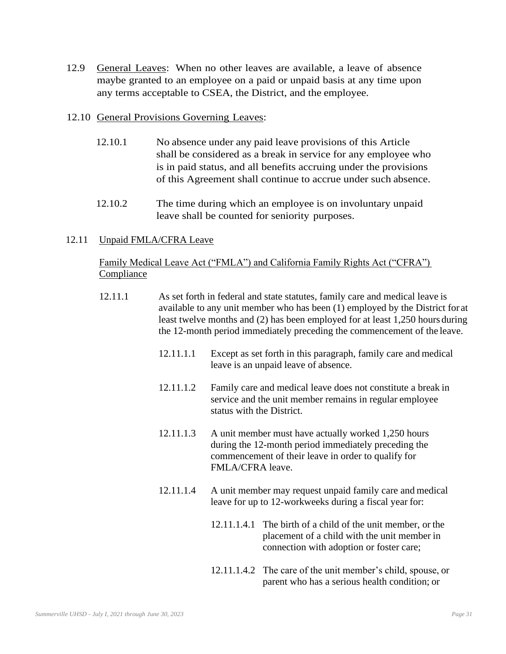12.9 General Leaves: When no other leaves are available, a leave of absence maybe granted to an employee on a paid or unpaid basis at any time upon any terms acceptable to CSEA, the District, and the employee.

#### 12.10 General Provisions Governing Leaves:

- 12.10.1 No absence under any paid leave provisions of this Article shall be considered as a break in service for any employee who is in paid status, and all benefits accruing under the provisions of this Agreement shall continue to accrue under such absence.
- 12.10.2 The time during which an employee is on involuntary unpaid leave shall be counted for seniority purposes.

#### 12.11 Unpaid FMLA/CFRA Leave

#### Family Medical Leave Act ("FMLA") and California Family Rights Act ("CFRA") **Compliance**

- 12.11.1 As set forth in federal and state statutes, family care and medical leave is available to any unit member who has been (1) employed by the District for at least twelve months and (2) has been employed for at least 1,250 hours during the 12-month period immediately preceding the commencement of the leave.
	- 12.11.1.1 Except as set forth in this paragraph, family care and medical leave is an unpaid leave of absence.
	- 12.11.1.2 Family care and medical leave does not constitute a break in service and the unit member remains in regular employee status with the District.
	- 12.11.1.3 A unit member must have actually worked 1,250 hours during the 12-month period immediately preceding the commencement of their leave in order to qualify for FMLA/CFRA leave.
	- 12.11.1.4 A unit member may request unpaid family care and medical leave for up to 12-workweeks during a fiscal year for:
		- 12.11.1.4.1 The birth of a child of the unit member, or the placement of a child with the unit member in connection with adoption or foster care;
		- 12.11.1.4.2 The care of the unit member's child, spouse, or parent who has a serious health condition; or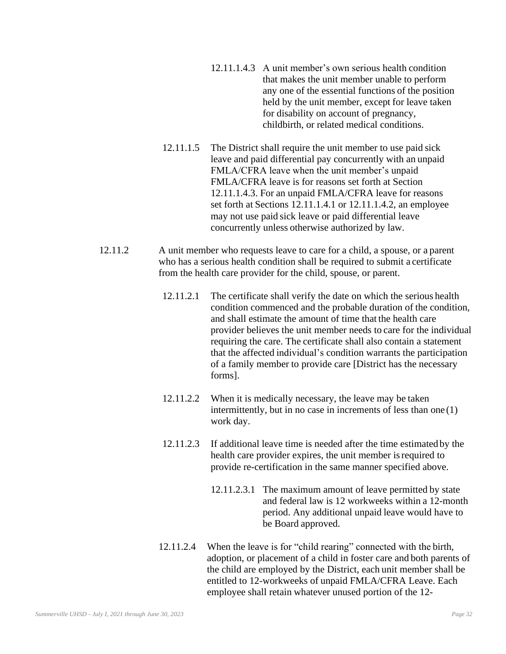- 12.11.1.4.3 A unit member's own serious health condition that makes the unit member unable to perform any one of the essential functions of the position held by the unit member, except for leave taken for disability on account of pregnancy, childbirth, or related medical conditions.
- 12.11.1.5 The District shall require the unit member to use paid sick leave and paid differential pay concurrently with an unpaid FMLA/CFRA leave when the unit member's unpaid FMLA/CFRA leave is for reasons set forth at Section 12.11.1.4.3. For an unpaid FMLA/CFRA leave for reasons set forth at Sections 12.11.1.4.1 or 12.11.1.4.2, an employee may not use paid sick leave or paid differential leave concurrently unless otherwise authorized by law.
- 12.11.2 A unit member who requests leave to care for a child, a spouse, or a parent who has a serious health condition shall be required to submit a certificate from the health care provider for the child, spouse, or parent.
	- 12.11.2.1 The certificate shall verify the date on which the serious health condition commenced and the probable duration of the condition, and shall estimate the amount of time that the health care provider believes the unit member needs to care for the individual requiring the care. The certificate shall also contain a statement that the affected individual's condition warrants the participation of a family member to provide care [District has the necessary forms].
	- 12.11.2.2 When it is medically necessary, the leave may be taken intermittently, but in no case in increments of less than one (1) work day.
	- 12.11.2.3 If additional leave time is needed after the time estimated by the health care provider expires, the unit member is required to provide re-certification in the same manner specified above.
		- 12.11.2.3.1 The maximum amount of leave permitted by state and federal law is 12 workweeks within a 12-month period. Any additional unpaid leave would have to be Board approved.
	- 12.11.2.4 When the leave is for "child rearing" connected with the birth, adoption, or placement of a child in foster care and both parents of the child are employed by the District, each unit member shall be entitled to 12-workweeks of unpaid FMLA/CFRA Leave. Each employee shall retain whatever unused portion of the 12-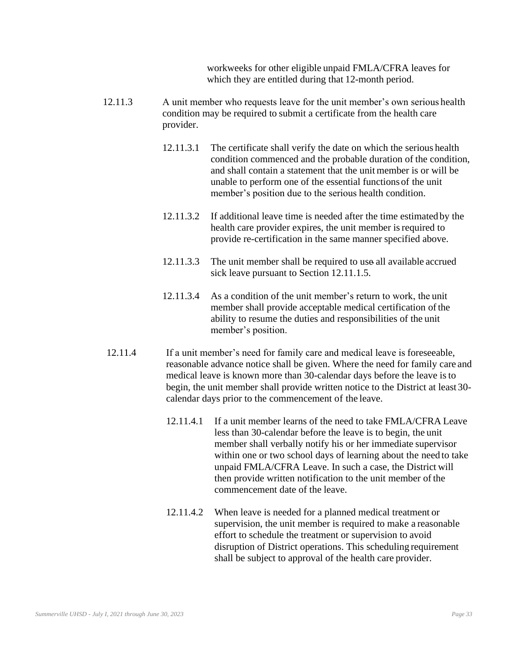workweeks for other eligible unpaid FMLA/CFRA leaves for which they are entitled during that 12-month period.

- 12.11.3 A unit member who requests leave for the unit member's own serious health condition may be required to submit a certificate from the health care provider.
	- 12.11.3.1 The certificate shall verify the date on which the serious health condition commenced and the probable duration of the condition, and shall contain a statement that the unit member is or will be unable to perform one of the essential functions of the unit member's position due to the serious health condition.
	- 12.11.3.2 If additional leave time is needed after the time estimated by the health care provider expires, the unit member is required to provide re-certification in the same manner specified above.
	- 12.11.3.3 The unit member shall be required to use all available accrued sick leave pursuant to Section 12.11.1.5.
	- 12.11.3.4 As a condition of the unit member's return to work, the unit member shall provide acceptable medical certification of the ability to resume the duties and responsibilities of the unit member's position.
- 12.11.4 If a unit member's need for family care and medical leave is foreseeable, reasonable advance notice shall be given. Where the need for family care and medical leave is known more than 30-calendar days before the leave isto begin, the unit member shall provide written notice to the District at least 30 calendar days prior to the commencement of the leave.
	- 12.11.4.1 If a unit member learns of the need to take FMLA/CFRA Leave less than 30-calendar before the leave is to begin, the unit member shall verbally notify his or her immediate supervisor within one or two school days of learning about the need to take unpaid FMLA/CFRA Leave. In such a case, the District will then provide written notification to the unit member of the commencement date of the leave.
	- 12.11.4.2 When leave is needed for a planned medical treatment or supervision, the unit member is required to make a reasonable effort to schedule the treatment or supervision to avoid disruption of District operations. This scheduling requirement shall be subject to approval of the health care provider.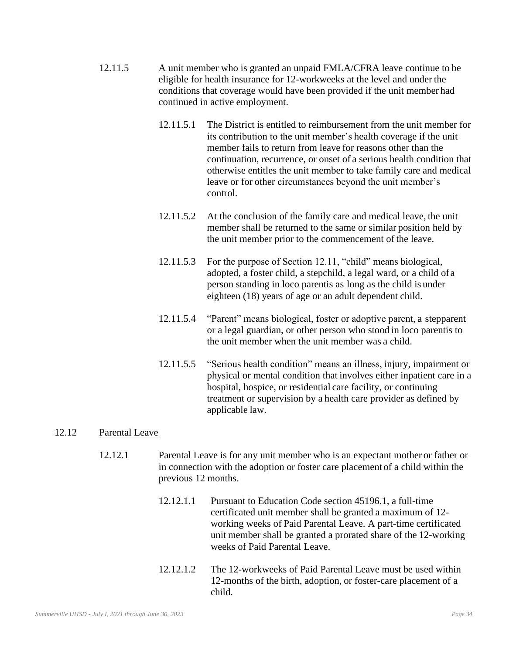- 12.11.5 A unit member who is granted an unpaid FMLA/CFRA leave continue to be eligible for health insurance for 12-workweeks at the level and under the conditions that coverage would have been provided if the unit member had continued in active employment.
	- 12.11.5.1 The District is entitled to reimbursement from the unit member for its contribution to the unit member's health coverage if the unit member fails to return from leave for reasons other than the continuation, recurrence, or onset of a serious health condition that otherwise entitles the unit member to take family care and medical leave or for other circumstances beyond the unit member's control.
	- 12.11.5.2 At the conclusion of the family care and medical leave, the unit member shall be returned to the same or similar position held by the unit member prior to the commencement of the leave.
	- 12.11.5.3 For the purpose of Section 12.11, "child" means biological, adopted, a foster child, a stepchild, a legal ward, or a child of a person standing in loco parentis as long as the child is under eighteen (18) years of age or an adult dependent child.
	- 12.11.5.4 "Parent" means biological, foster or adoptive parent, a stepparent or a legal guardian, or other person who stood in loco parentis to the unit member when the unit member was a child.
	- 12.11.5.5 "Serious health condition" means an illness, injury, impairment or physical or mental condition that involves either inpatient care in a hospital, hospice, or residential care facility, or continuing treatment or supervision by a health care provider as defined by applicable law.

#### 12.12 Parental Leave

- 12.12.1 Parental Leave is for any unit member who is an expectant mother or father or in connection with the adoption or foster care placement of a child within the previous 12 months.
	- 12.12.1.1 Pursuant to Education Code section 45196.1, a full-time certificated unit member shall be granted a maximum of 12 working weeks of Paid Parental Leave. A part-time certificated unit member shall be granted a prorated share of the 12-working weeks of Paid Parental Leave.
	- 12.12.1.2 The 12-workweeks of Paid Parental Leave must be used within 12-months of the birth, adoption, or foster-care placement of a child.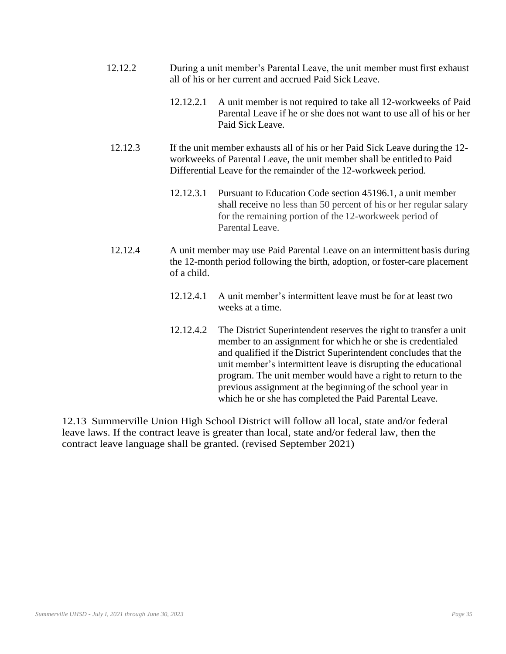- 12.12.2 During a unit member's Parental Leave, the unit member must first exhaust all of his or her current and accrued Paid Sick Leave.
	- 12.12.2.1 A unit member is not required to take all 12-workweeks of Paid Parental Leave if he or she does not want to use all of his or her Paid Sick Leave.
- 12.12.3 If the unit member exhausts all of his or her Paid Sick Leave during the 12 workweeks of Parental Leave, the unit member shall be entitled to Paid Differential Leave for the remainder of the 12-workweek period.
	- 12.12.3.1 Pursuant to Education Code section 45196.1, a unit member shall receive no less than 50 percent of his or her regular salary for the remaining portion of the 12-workweek period of Parental Leave.
- 12.12.4 A unit member may use Paid Parental Leave on an intermittent basis during the 12-month period following the birth, adoption, or foster-care placement of a child.
	- 12.12.4.1 A unit member's intermittent leave must be for at least two weeks at a time.
	- 12.12.4.2 The District Superintendent reserves the right to transfer a unit member to an assignment for which he or she is credentialed and qualified if the District Superintendent concludes that the unit member's intermittent leave is disrupting the educational program. The unit member would have a right to return to the previous assignment at the beginning of the school year in which he or she has completed the Paid Parental Leave.

12.13 Summerville Union High School District will follow all local, state and/or federal leave laws. If the contract leave is greater than local, state and/or federal law, then the contract leave language shall be granted. (revised September 2021)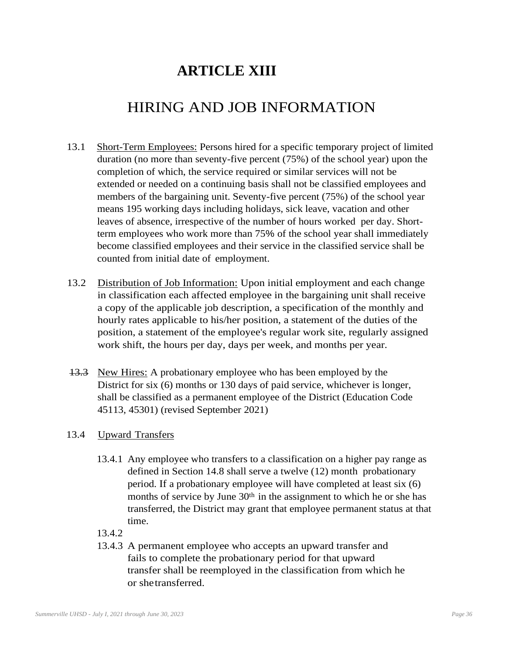# **ARTICLE XIII**

# HIRING AND JOB INFORMATION

- 13.1 Short-Term Employees: Persons hired for a specific temporary project of limited duration (no more than seventy-five percent (75%) of the school year) upon the completion of which, the service required or similar services will not be extended or needed on a continuing basis shall not be classified employees and members of the bargaining unit. Seventy-five percent (75%) of the school year means 195 working days including holidays, sick leave, vacation and other leaves of absence, irrespective of the number of hours worked per day. Shortterm employees who work more than 75% of the school year shall immediately become classified employees and their service in the classified service shall be counted from initial date of employment.
- 13.2 Distribution of Job Information: Upon initial employment and each change in classification each affected employee in the bargaining unit shall receive a copy of the applicable job description, a specification of the monthly and hourly rates applicable to his/her position, a statement of the duties of the position, a statement of the employee's regular work site, regularly assigned work shift, the hours per day, days per week, and months per year.
- 13.3 New Hires: A probationary employee who has been employed by the District for six (6) months or 130 days of paid service, whichever is longer, shall be classified as a permanent employee of the District (Education Code 45113, 45301) (revised September 2021)

#### 13.4 Upward Transfers

- 13.4.1 Any employee who transfers to a classification on a higher pay range as defined in Section 14.8 shall serve a twelve (12) month probationary period. If a probationary employee will have completed at least six (6) months of service by June 30<sup>th</sup> in the assignment to which he or she has transferred, the District may grant that employee permanent status at that time.
- 13.4.2
- 13.4.3 A permanent employee who accepts an upward transfer and fails to complete the probationary period for that upward transfer shall be reemployed in the classification from which he or shetransferred.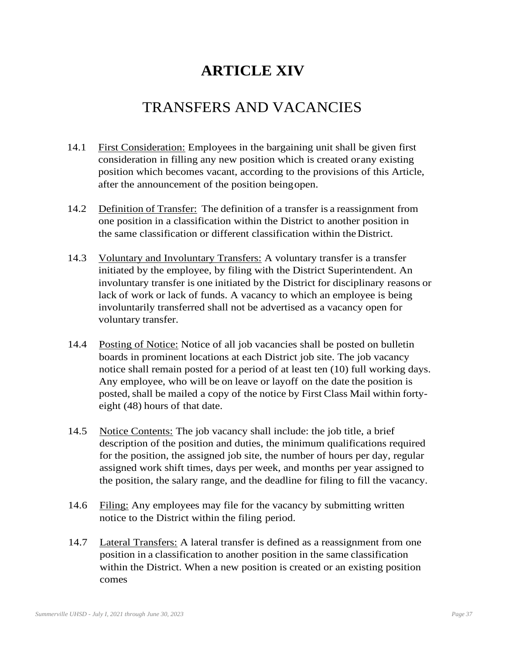# **ARTICLE XIV**

## TRANSFERS AND VACANCIES

- 14.1 First Consideration: Employees in the bargaining unit shall be given first consideration in filling any new position which is created orany existing position which becomes vacant, according to the provisions of this Article, after the announcement of the position beingopen.
- 14.2 Definition of Transfer: The definition of a transfer is a reassignment from one position in a classification within the District to another position in the same classification or different classification within theDistrict.
- 14.3 Voluntary and Involuntary Transfers: A voluntary transfer is a transfer initiated by the employee, by filing with the District Superintendent. An involuntary transfer is one initiated by the District for disciplinary reasons or lack of work or lack of funds. A vacancy to which an employee is being involuntarily transferred shall not be advertised as a vacancy open for voluntary transfer.
- 14.4 Posting of Notice: Notice of all job vacancies shall be posted on bulletin boards in prominent locations at each District job site. The job vacancy notice shall remain posted for a period of at least ten (10) full working days. Any employee, who will be on leave or layoff on the date the position is posted, shall be mailed a copy of the notice by First Class Mail within fortyeight (48) hours of that date.
- 14.5 Notice Contents: The job vacancy shall include: the job title, a brief description of the position and duties, the minimum qualifications required for the position, the assigned job site, the number of hours per day, regular assigned work shift times, days per week, and months per year assigned to the position, the salary range, and the deadline for filing to fill the vacancy.
- 14.6 Filing: Any employees may file for the vacancy by submitting written notice to the District within the filing period.
- 14.7 Lateral Transfers: A lateral transfer is defined as a reassignment from one position in a classification to another position in the same classification within the District. When a new position is created or an existing position comes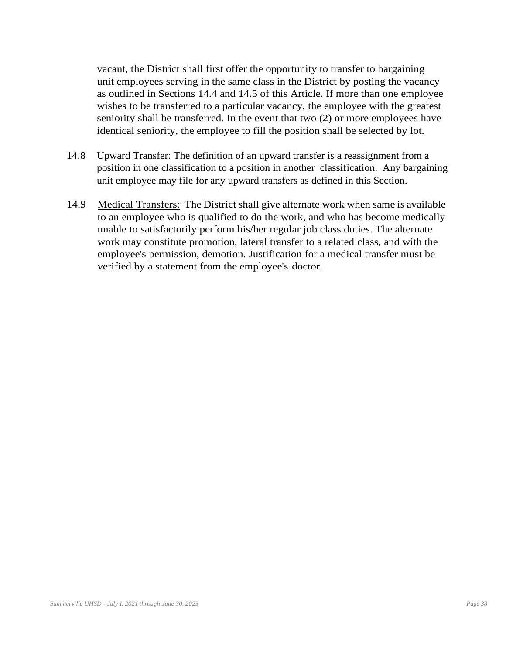vacant, the District shall first offer the opportunity to transfer to bargaining unit employees serving in the same class in the District by posting the vacancy as outlined in Sections 14.4 and 14.5 of this Article. If more than one employee wishes to be transferred to a particular vacancy, the employee with the greatest seniority shall be transferred. In the event that two (2) or more employees have identical seniority, the employee to fill the position shall be selected by lot.

- 14.8 Upward Transfer: The definition of an upward transfer is a reassignment from a position in one classification to a position in another classification. Any bargaining unit employee may file for any upward transfers as defined in this Section.
- 14.9 Medical Transfers: The District shall give alternate work when same is available to an employee who is qualified to do the work, and who has become medically unable to satisfactorily perform his/her regular job class duties. The alternate work may constitute promotion, lateral transfer to a related class, and with the employee's permission, demotion. Justification for a medical transfer must be verified by a statement from the employee's doctor.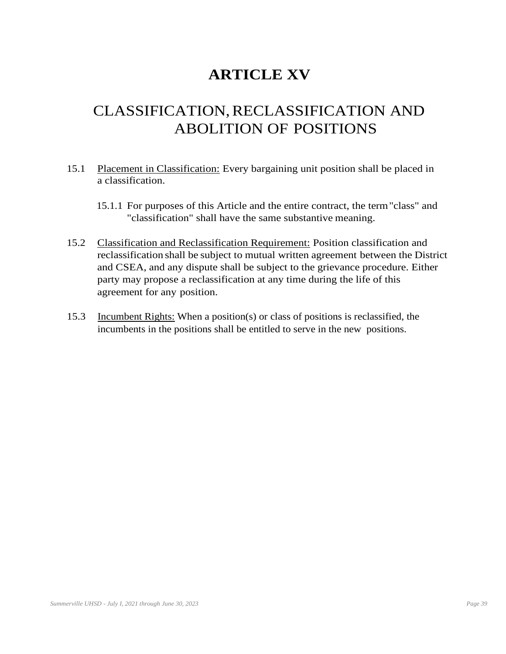# **ARTICLE XV**

# CLASSIFICATION,RECLASSIFICATION AND ABOLITION OF POSITIONS

- 15.1 Placement in Classification: Every bargaining unit position shall be placed in a classification.
	- 15.1.1 For purposes of this Article and the entire contract, the term"class" and "classification" shall have the same substantive meaning.
- 15.2 Classification and Reclassification Requirement: Position classification and reclassification shall be subject to mutual written agreement between the District and CSEA, and any dispute shall be subject to the grievance procedure. Either party may propose a reclassification at any time during the life of this agreement for any position.
- 15.3 Incumbent Rights: When a position(s) or class of positions is reclassified, the incumbents in the positions shall be entitled to serve in the new positions.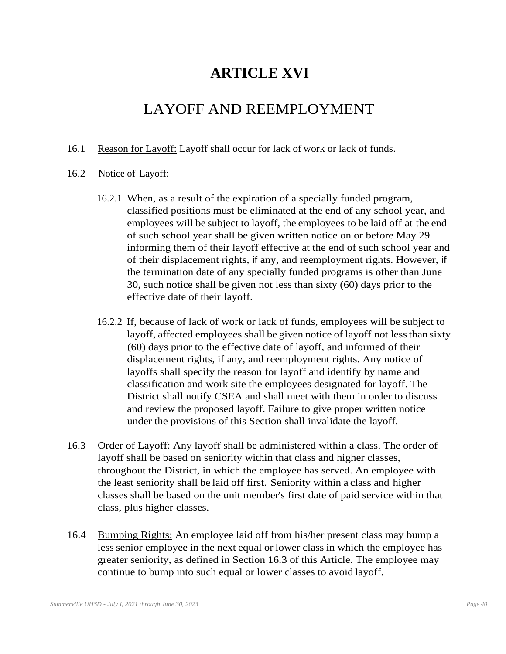### **ARTICLE XVI**

## LAYOFF AND REEMPLOYMENT

16.1 Reason for Layoff: Layoff shall occur for lack of work or lack of funds.

#### 16.2 Notice of Layoff:

- 16.2.1 When, as a result of the expiration of a specially funded program, classified positions must be eliminated at the end of any school year, and employees will be subject to layoff, the employees to be laid off at the end of such school year shall be given written notice on or before May 29 informing them of their layoff effective at the end of such school year and of their displacement rights, if any, and reemployment rights. However, if the termination date of any specially funded programs is other than June 30, such notice shall be given not less than sixty (60) days prior to the effective date of their layoff.
- 16.2.2 If, because of lack of work or lack of funds, employees will be subject to layoff, affected employees shall be given notice of layoff not lessthan sixty (60) days prior to the effective date of layoff, and informed of their displacement rights, if any, and reemployment rights. Any notice of layoffs shall specify the reason for layoff and identify by name and classification and work site the employees designated for layoff. The District shall notify CSEA and shall meet with them in order to discuss and review the proposed layoff. Failure to give proper written notice under the provisions of this Section shall invalidate the layoff.
- 16.3 Order of Layoff: Any layoff shall be administered within a class. The order of layoff shall be based on seniority within that class and higher classes, throughout the District, in which the employee has served. An employee with the least seniority shall be laid off first. Seniority within a class and higher classes shall be based on the unit member's first date of paid service within that class, plus higher classes.
- 16.4 Bumping Rights: An employee laid off from his/her present class may bump a less senior employee in the next equal or lower class in which the employee has greater seniority, as defined in Section 16.3 of this Article. The employee may continue to bump into such equal or lower classes to avoid layoff.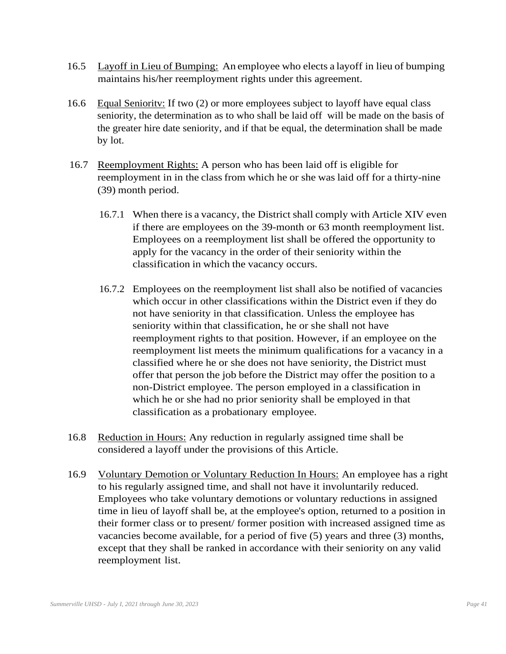- 16.5 Layoff in Lieu of Bumping: An employee who elects a layoff in lieu of bumping maintains his/her reemployment rights under this agreement.
- 16.6 Equal Senioritv: If two (2) or more employees subject to layoff have equal class seniority, the determination as to who shall be laid off will be made on the basis of the greater hire date seniority, and if that be equal, the determination shall be made by lot.
- 16.7 Reemployment Rights: A person who has been laid off is eligible for reemployment in in the class from which he or she was laid off for a thirty-nine (39) month period.
	- 16.7.1 When there is a vacancy, the District shall comply with Article XIV even if there are employees on the 39-month or 63 month reemployment list. Employees on a reemployment list shall be offered the opportunity to apply for the vacancy in the order of their seniority within the classification in which the vacancy occurs.
	- 16.7.2 Employees on the reemployment list shall also be notified of vacancies which occur in other classifications within the District even if they do not have seniority in that classification. Unless the employee has seniority within that classification, he or she shall not have reemployment rights to that position. However, if an employee on the reemployment list meets the minimum qualifications for a vacancy in a classified where he or she does not have seniority, the District must offer that person the job before the District may offer the position to a non-District employee. The person employed in a classification in which he or she had no prior seniority shall be employed in that classification as a probationary employee.
- 16.8 Reduction in Hours: Any reduction in regularly assigned time shall be considered a layoff under the provisions of this Article.
- 16.9 Voluntary Demotion or Voluntary Reduction In Hours: An employee has a right to his regularly assigned time, and shall not have it involuntarily reduced. Employees who take voluntary demotions or voluntary reductions in assigned time in lieu of layoff shall be, at the employee's option, returned to a position in their former class or to present/ former position with increased assigned time as vacancies become available, for a period of five (5) years and three (3) months, except that they shall be ranked in accordance with their seniority on any valid reemployment list.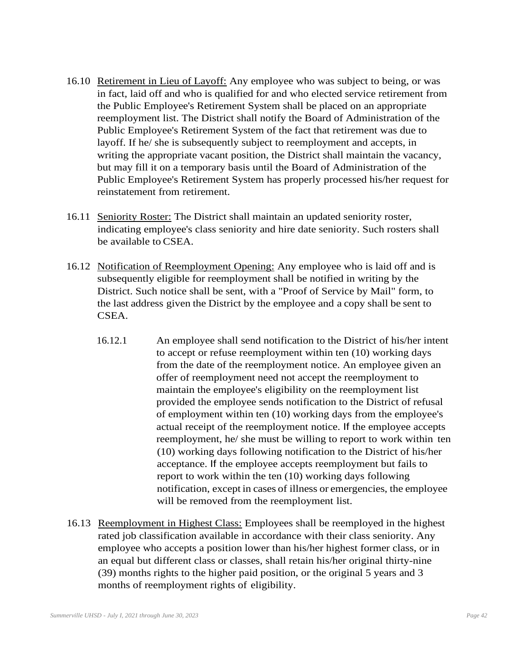- 16.10 Retirement in Lieu of Layoff: Any employee who was subject to being, or was in fact, laid off and who is qualified for and who elected service retirement from the Public Employee's Retirement System shall be placed on an appropriate reemployment list. The District shall notify the Board of Administration of the Public Employee's Retirement System of the fact that retirement was due to layoff. If he/ she is subsequently subject to reemployment and accepts, in writing the appropriate vacant position, the District shall maintain the vacancy, but may fill it on a temporary basis until the Board of Administration of the Public Employee's Retirement System has properly processed his/her request for reinstatement from retirement.
- 16.11 Seniority Roster: The District shall maintain an updated seniority roster, indicating employee's class seniority and hire date seniority. Such rosters shall be available to CSEA.
- 16.12 Notification of Reemployment Opening: Any employee who is laid off and is subsequently eligible for reemployment shall be notified in writing by the District. Such notice shall be sent, with a "Proof of Service by Mail" form, to the last address given the District by the employee and a copy shall be sent to CSEA.
	- 16.12.1 An employee shall send notification to the District of his/her intent to accept or refuse reemployment within ten (10) working days from the date of the reemployment notice. An employee given an offer of reemployment need not accept the reemployment to maintain the employee's eligibility on the reemployment list provided the employee sends notification to the District of refusal of employment within ten (10) working days from the employee's actual receipt of the reemployment notice. If the employee accepts reemployment, he/ she must be willing to report to work within ten (10) working days following notification to the District of his/her acceptance. If the employee accepts reemployment but fails to report to work within the ten (10) working days following notification, except in cases of illness or emergencies, the employee will be removed from the reemployment list.
- 16.13 Reemployment in Highest Class: Employees shall be reemployed in the highest rated job classification available in accordance with their class seniority. Any employee who accepts a position lower than his/her highest former class, or in an equal but different class or classes, shall retain his/her original thirty-nine (39) months rights to the higher paid position, or the original 5 years and 3 months of reemployment rights of eligibility.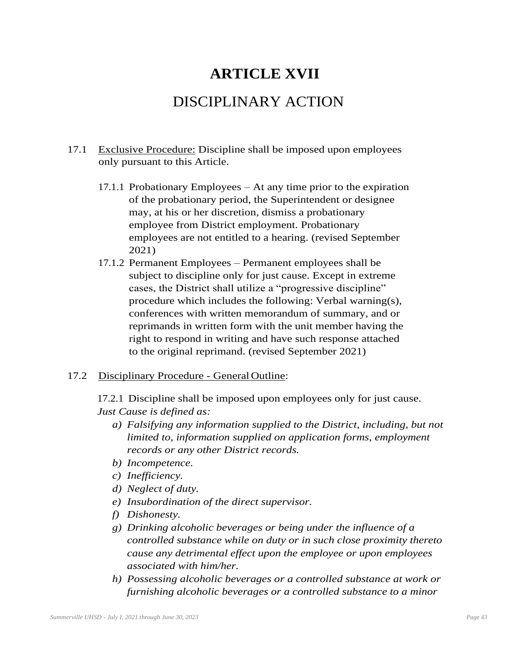### **ARTICLE XVII**

### DISCIPLINARY ACTION

- 17.1 Exclusive Procedure: Discipline shall be imposed upon employees only pursuant to this Article.
	- 17.1.1 Probationary Employees At any time prior to the expiration of the probationary period, the Superintendent or designee may, at his or her discretion, dismiss a probationary employee from District employment. Probationary employees are not entitled to a hearing. (revised September 2021)
	- 17.1.2 Permanent Employees Permanent employees shall be subject to discipline only for just cause. Except in extreme cases, the District shall utilize a "progressive discipline" procedure which includes the following: Verbal warning(s), conferences with written memorandum of summary, and or reprimands in written form with the unit member having the right to respond in writing and have such response attached to the original reprimand. (revised September 2021)

#### 17.2 Disciplinary Procedure - General Outline:

17.2.1 Discipline shall be imposed upon employees only for just cause. *Just Cause is defined as:*

- *a) Falsifying any information supplied to the District, including, but not limited to, information supplied on application forms, employment records or any other District records.*
- *b) Incompetence.*
- *c) Inefficiency.*
- *d) Neglect of duty.*
- *e) Insubordination of the direct supervisor.*
- *f) Dishonesty.*
- *g) Drinking alcoholic beverages or being under the influence of a controlled substance while on duty or in such close proximity thereto cause any detrimental effect upon the employee or upon employees associated with him/her.*
- *h) Possessing alcoholic beverages or a controlled substance at work or furnishing alcoholic beverages or a controlled substance to a minor*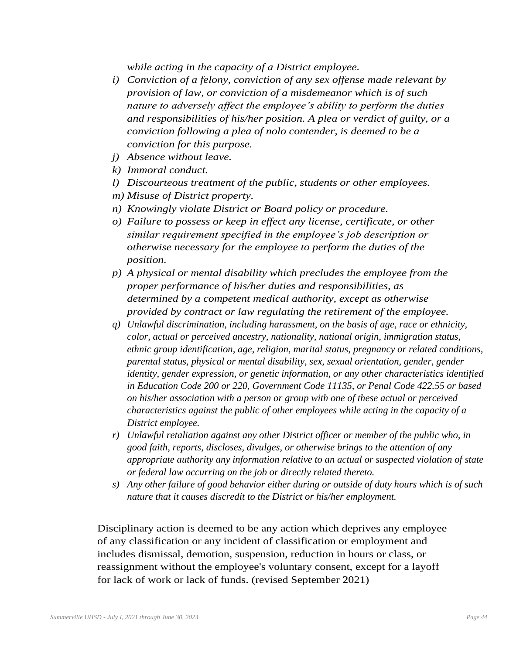*while acting in the capacity of a District employee.* 

- *i) Conviction of a felony, conviction of any sex offense made relevant by provision of law, or conviction of a misdemeanor which is of such nature to adversely affect the employee's ability to perform the duties and responsibilities of his/her position. A plea or verdict of guilty, or a conviction following a plea of nolo contender, is deemed to be a conviction for this purpose.*
- *j) Absence without leave.*
- *k) Immoral conduct.*
- *l) Discourteous treatment of the public, students or other employees.*
- *m) Misuse of District property.*
- *n) Knowingly violate District or Board policy or procedure.*
- *o) Failure to possess or keep in effect any license, certificate, or other similar requirement specified in the employee's job description or otherwise necessary for the employee to perform the duties of the position.*
- *p) A physical or mental disability which precludes the employee from the proper performance of his/her duties and responsibilities, as determined by a competent medical authority, except as otherwise provided by contract or law regulating the retirement of the employee.*
- *q) Unlawful discrimination, including harassment, on the basis of age, race or ethnicity, color, actual or perceived ancestry, nationality, national origin, immigration status, ethnic group identification, age, religion, marital status, pregnancy or related conditions, parental status, physical or mental disability, sex, sexual orientation, gender, gender identity, gender expression, or genetic information, or any other characteristics identified in Education Code 200 or 220, Government Code 11135, or Penal Code 422.55 or based on his/her association with a person or group with one of these actual or perceived characteristics against the public of other employees while acting in the capacity of a District employee.*
- *r) Unlawful retaliation against any other District officer or member of the public who, in good faith, reports, discloses, divulges, or otherwise brings to the attention of any appropriate authority any information relative to an actual or suspected violation of state or federal law occurring on the job or directly related thereto.*
- *s) Any other failure of good behavior either during or outside of duty hours which is of such nature that it causes discredit to the District or his/her employment.*

Disciplinary action is deemed to be any action which deprives any employee of any classification or any incident of classification or employment and includes dismissal, demotion, suspension, reduction in hours or class, or reassignment without the employee's voluntary consent, except for a layoff for lack of work or lack of funds. (revised September 2021)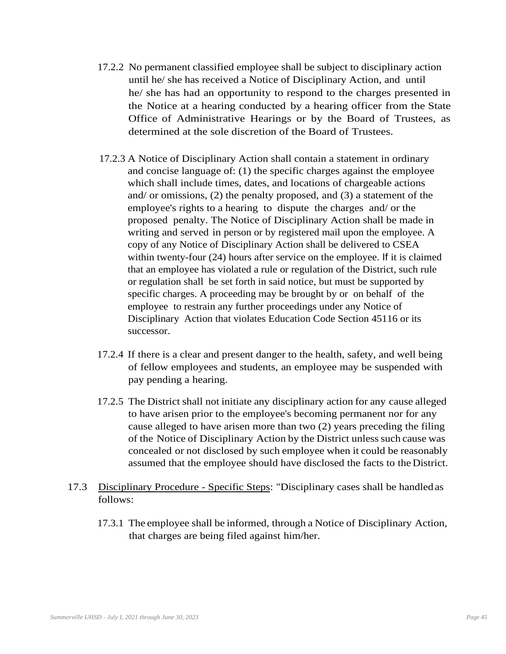- 17.2.2 No permanent classified employee shall be subject to disciplinary action until he/ she has received a Notice of Disciplinary Action, and until he/ she has had an opportunity to respond to the charges presented in the Notice at a hearing conducted by a hearing officer from the State Office of Administrative Hearings or by the Board of Trustees, as determined at the sole discretion of the Board of Trustees.
- 17.2.3 A Notice of Disciplinary Action shall contain a statement in ordinary and concise language of: (1) the specific charges against the employee which shall include times, dates, and locations of chargeable actions and/ or omissions, (2) the penalty proposed, and (3) a statement of the employee's rights to a hearing to dispute the charges and/ or the proposed penalty. The Notice of Disciplinary Action shall be made in writing and served in person or by registered mail upon the employee. A copy of any Notice of Disciplinary Action shall be delivered to CSEA within twenty-four (24) hours after service on the employee. If it is claimed that an employee has violated a rule or regulation of the District, such rule or regulation shall be set forth in said notice, but must be supported by specific charges. A proceeding may be brought by or on behalf of the employee to restrain any further proceedings under any Notice of Disciplinary Action that violates Education Code Section 45116 or its successor.
- 17.2.4 If there is a clear and present danger to the health, safety, and well being of fellow employees and students, an employee may be suspended with pay pending a hearing.
- 17.2.5 The District shall not initiate any disciplinary action for any cause alleged to have arisen prior to the employee's becoming permanent nor for any cause alleged to have arisen more than two (2) years preceding the filing of the Notice of Disciplinary Action by the District unless such cause was concealed or not disclosed by such employee when it could be reasonably assumed that the employee should have disclosed the facts to the District.
- 17.3 Disciplinary Procedure Specific Steps: "Disciplinary cases shall be handledas follows:
	- 17.3.1 The employee shall be informed, through a Notice of Disciplinary Action, that charges are being filed against him/her.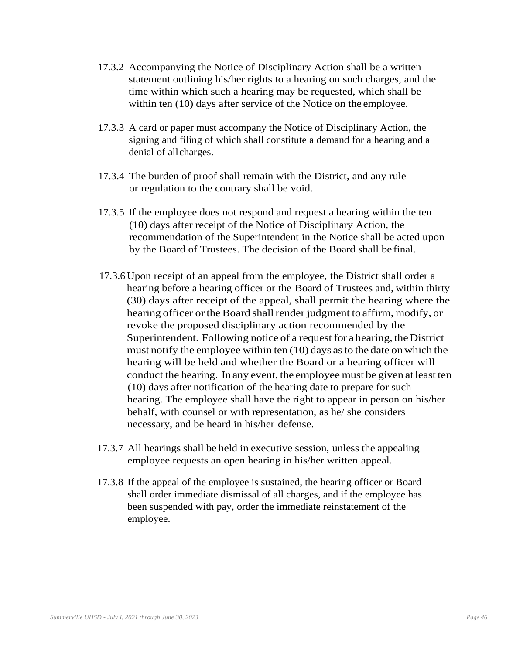- 17.3.2 Accompanying the Notice of Disciplinary Action shall be a written statement outlining his/her rights to a hearing on such charges, and the time within which such a hearing may be requested, which shall be within ten (10) days after service of the Notice on the employee.
- 17.3.3 A card or paper must accompany the Notice of Disciplinary Action, the signing and filing of which shall constitute a demand for a hearing and a denial of allcharges.
- 17.3.4 The burden of proof shall remain with the District, and any rule or regulation to the contrary shall be void.
- 17.3.5 If the employee does not respond and request a hearing within the ten (10) days after receipt of the Notice of Disciplinary Action, the recommendation of the Superintendent in the Notice shall be acted upon by the Board of Trustees. The decision of the Board shall be final.
- 17.3.6 Upon receipt of an appeal from the employee, the District shall order a hearing before a hearing officer or the Board of Trustees and, within thirty (30) days after receipt of the appeal, shall permit the hearing where the hearing officer or the Board shall render judgment to affirm, modify, or revoke the proposed disciplinary action recommended by the Superintendent. Following notice of a request for a hearing, the District must notify the employee within ten (10) days asto the date onwhich the hearing will be held and whether the Board or a hearing officer will conduct the hearing. In any event, the employee must be given at least ten (10) days after notification of the hearing date to prepare for such hearing. The employee shall have the right to appear in person on his/her behalf, with counsel or with representation, as he/ she considers necessary, and be heard in his/her defense.
- 17.3.7 All hearings shall be held in executive session, unless the appealing employee requests an open hearing in his/her written appeal.
- 17.3.8 If the appeal of the employee is sustained, the hearing officer or Board shall order immediate dismissal of all charges, and if the employee has been suspended with pay, order the immediate reinstatement of the employee.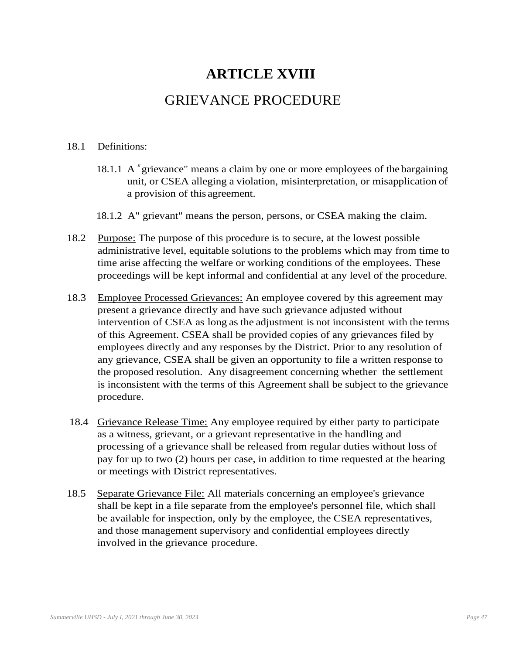### **ARTICLE XVIII**

### GRIEVANCE PROCEDURE

#### 18.1 Definitions:

- 18.1.1 A "grievance" means a claim by one or more employees of the bargaining unit, or CSEA alleging a violation, misinterpretation, or misapplication of a provision of this agreement.
- 18.1.2 A" grievant" means the person, persons, or CSEA making the claim.
- 18.2 Purpose: The purpose of this procedure is to secure, at the lowest possible administrative level, equitable solutions to the problems which may from time to time arise affecting the welfare or working conditions of the employees. These proceedings will be kept informal and confidential at any level of the procedure.
- 18.3 Employee Processed Grievances: An employee covered by this agreement may present a grievance directly and have such grievance adjusted without intervention of CSEA as long as the adjustment is not inconsistent with the terms of this Agreement. CSEA shall be provided copies of any grievances filed by employees directly and any responses by the District. Prior to any resolution of any grievance, CSEA shall be given an opportunity to file a written response to the proposed resolution. Any disagreement concerning whether the settlement is inconsistent with the terms of this Agreement shall be subject to the grievance procedure.
- 18.4 Grievance Release Time: Any employee required by either party to participate as a witness, grievant, or a grievant representative in the handling and processing of a grievance shall be released from regular duties without loss of pay for up to two (2) hours per case, in addition to time requested at the hearing or meetings with District representatives.
- 18.5 Separate Grievance File: All materials concerning an employee's grievance shall be kept in a file separate from the employee's personnel file, which shall be available for inspection, only by the employee, the CSEA representatives, and those management supervisory and confidential employees directly involved in the grievance procedure.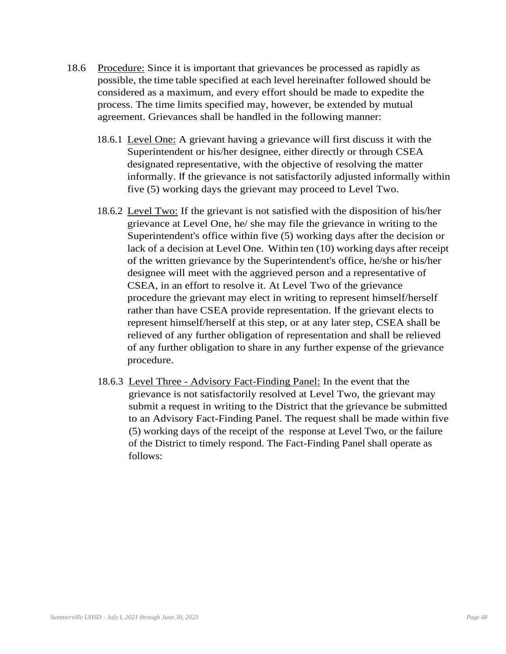- 18.6 Procedure: Since it is important that grievances be processed as rapidly as possible, the time table specified at each level hereinafter followed should be considered as a maximum, and every effort should be made to expedite the process. The time limits specified may, however, be extended by mutual agreement. Grievances shall be handled in the following manner:
	- 18.6.1 Level One: A grievant having a grievance will first discuss it with the Superintendent or his/her designee, either directly or through CSEA designated representative, with the objective of resolving the matter informally. If the grievance is not satisfactorily adjusted informally within five (5) working days the grievant may proceed to Level Two.
	- 18.6.2 Level Two: If the grievant is not satisfied with the disposition of his/her grievance at Level One, he/ she may file the grievance in writing to the Superintendent's office within five (5) working days after the decision or lack of a decision at Level One. Within ten (10) working days after receipt of the written grievance by the Superintendent's office, he/she or his/her designee will meet with the aggrieved person and a representative of CSEA, in an effort to resolve it. At Level Two of the grievance procedure the grievant may elect in writing to represent himself/herself rather than have CSEA provide representation. If the grievant elects to represent himself/herself at this step, or at any later step, CSEA shall be relieved of any further obligation of representation and shall be relieved of any further obligation to share in any further expense of the grievance procedure.
	- 18.6.3 Level Three Advisory Fact-Finding Panel: In the event that the grievance is not satisfactorily resolved at Level Two, the grievant may submit a request in writing to the District that the grievance be submitted to an Advisory Fact-Finding Panel. The request shall be made within five (5) working days of the receipt of the response at Level Two, or the failure of the District to timely respond. The Fact-Finding Panel shall operate as follows: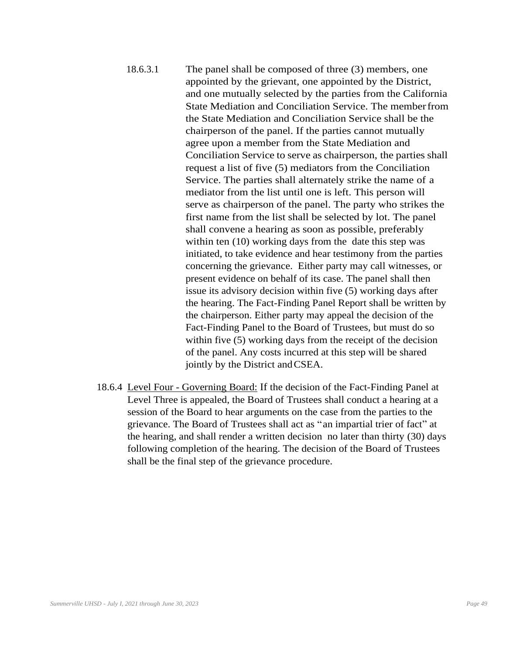- 18.6.3.1 The panel shall be composed of three (3) members, one appointed by the grievant, one appointed by the District, and one mutually selected by the parties from the California State Mediation and Conciliation Service. The memberfrom the State Mediation and Conciliation Service shall be the chairperson of the panel. If the parties cannot mutually agree upon a member from the State Mediation and Conciliation Service to serve as chairperson, the parties shall request a list of five (5) mediators from the Conciliation Service. The parties shall alternately strike the name of a mediator from the list until one is left. This person will serve as chairperson of the panel. The party who strikes the first name from the list shall be selected by lot. The panel shall convene a hearing as soon as possible, preferably within ten (10) working days from the date this step was initiated, to take evidence and hear testimony from the parties concerning the grievance. Either party may call witnesses, or present evidence on behalf of its case. The panel shall then issue its advisory decision within five (5) working days after the hearing. The Fact-Finding Panel Report shall be written by the chairperson. Either party may appeal the decision of the Fact-Finding Panel to the Board of Trustees, but must do so within five (5) working days from the receipt of the decision of the panel. Any costs incurred at this step will be shared jointly by the District andCSEA.
- 18.6.4 Level Four Governing Board: If the decision of the Fact-Finding Panel at Level Three is appealed, the Board of Trustees shall conduct a hearing at a session of the Board to hear arguments on the case from the parties to the grievance. The Board of Trustees shall act as "an impartial trier of fact" at the hearing, and shall render a written decision no later than thirty (30) days following completion of the hearing. The decision of the Board of Trustees shall be the final step of the grievance procedure.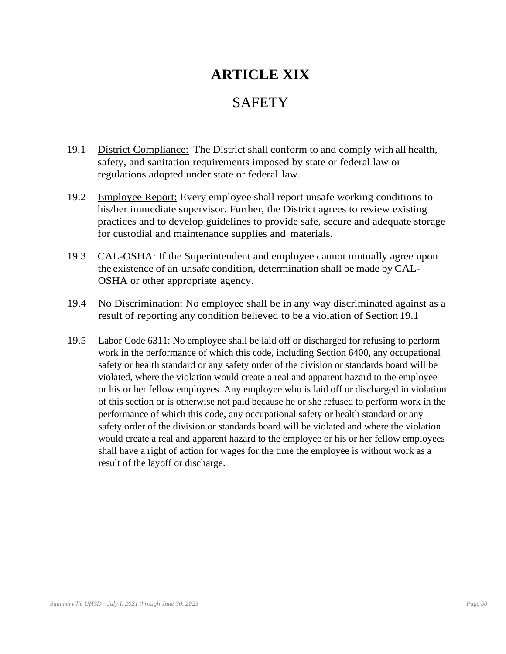# **ARTICLE XIX**

### **SAFETY**

- 19.1 District Compliance: The District shall conform to and comply with all health, safety, and sanitation requirements imposed by state or federal law or regulations adopted under state or federal law.
- 19.2 Employee Report: Every employee shall report unsafe working conditions to his/her immediate supervisor. Further, the District agrees to review existing practices and to develop guidelines to provide safe, secure and adequate storage for custodial and maintenance supplies and materials.
- 19.3 CAL-OSHA: If the Superintendent and employee cannot mutually agree upon the existence of an unsafe condition, determination shall be made by CAL-OSHA or other appropriate agency.
- 19.4 No Discrimination: No employee shall be in any way discriminated against as a result of reporting any condition believed to be a violation of Section 19.1
- 19.5 Labor Code 6311: No employee shall be laid off or discharged for refusing to perform work in the performance of which this code, including Section 6400, any occupational safety or health standard or any safety order of the division or standards board will be violated, where the violation would create a real and apparent hazard to the employee or his or her fellow employees. Any employee who is laid off or discharged in violation of this section or is otherwise not paid because he or she refused to perform work in the performance of which this code, any occupational safety or health standard or any safety order of the division or standards board will be violated and where the violation would create a real and apparent hazard to the employee or his or her fellow employees shall have a right of action for wages for the time the employee is without work as a result of the layoff or discharge.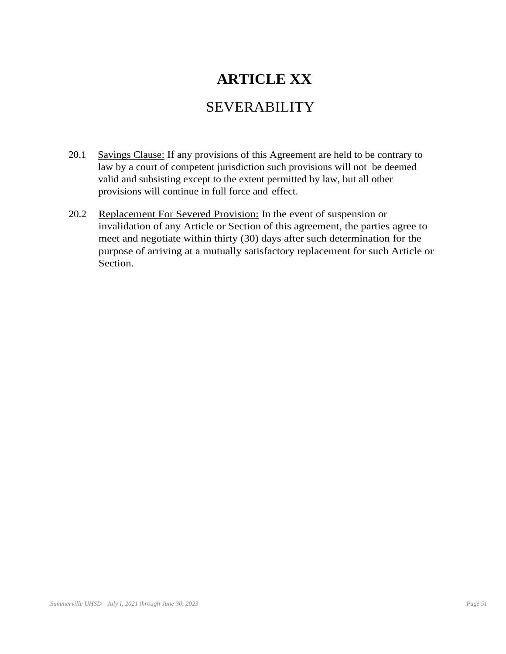# **ARTICLE XX**

### SEVERABILITY

- 20.1 Savings Clause: If any provisions of this Agreement are held to be contrary to law by a court of competent jurisdiction such provisions will not be deemed valid and subsisting except to the extent permitted by law, but all other provisions will continue in full force and effect.
- 20.2 Replacement For Severed Provision: In the event of suspension or invalidation of any Article or Section of this agreement, the parties agree to meet and negotiate within thirty (30) days after such determination for the purpose of arriving at a mutually satisfactory replacement for such Article or Section.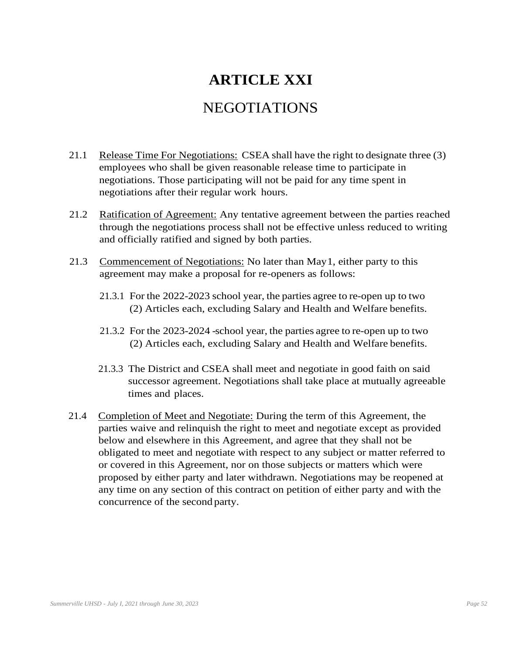# **ARTICLE XXI**

### NEGOTIATIONS

- 21.1 Release Time For Negotiations: CSEA shall have the right to designate three (3) employees who shall be given reasonable release time to participate in negotiations. Those participating will not be paid for any time spent in negotiations after their regular work hours.
- 21.2 Ratification of Agreement: Any tentative agreement between the parties reached through the negotiations process shall not be effective unless reduced to writing and officially ratified and signed by both parties.
- 21.3 Commencement of Negotiations: No later than May1, either party to this agreement may make a proposal for re-openers as follows:
	- 21.3.1 For the 2022-2023 school year, the parties agree to re-open up to two (2) Articles each, excluding Salary and Health and Welfare benefits.
	- 21.3.2 For the 2023-2024 -school year, the parties agree to re-open up to two (2) Articles each, excluding Salary and Health and Welfare benefits.
	- 21.3.3 The District and CSEA shall meet and negotiate in good faith on said successor agreement. Negotiations shall take place at mutually agreeable times and places.
- 21.4 Completion of Meet and Negotiate: During the term of this Agreement, the parties waive and relinquish the right to meet and negotiate except as provided below and elsewhere in this Agreement, and agree that they shall not be obligated to meet and negotiate with respect to any subject or matter referred to or covered in this Agreement, nor on those subjects or matters which were proposed by either party and later withdrawn. Negotiations may be reopened at any time on any section of this contract on petition of either party and with the concurrence of the second party.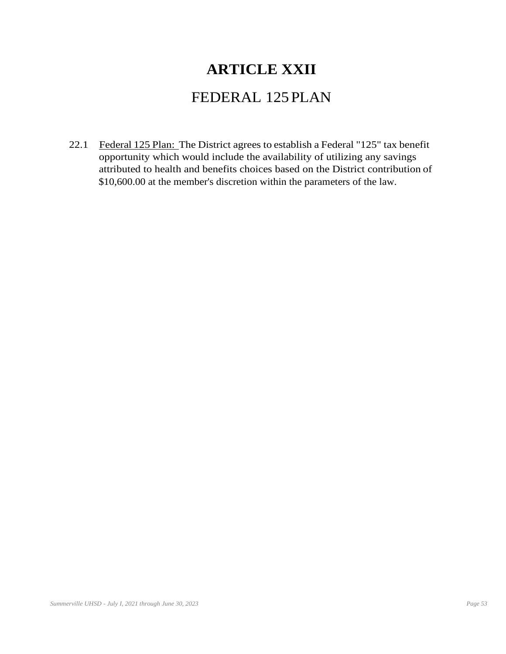## **ARTICLE XXII**

### FEDERAL 125PLAN

22.1 Federal 125 Plan: The District agrees to establish a Federal "125" tax benefit opportunity which would include the availability of utilizing any savings attributed to health and benefits choices based on the District contribution of \$10,600.00 at the member's discretion within the parameters of the law.